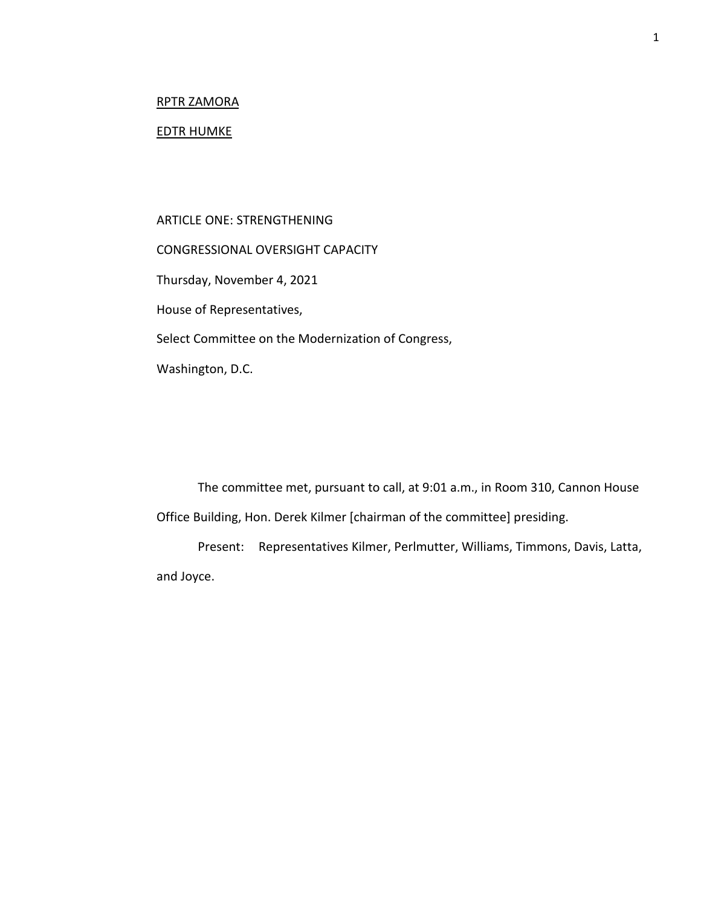# RPTR ZAMORA

## EDTR HUMKE

ARTICLE ONE: STRENGTHENING CONGRESSIONAL OVERSIGHT CAPACITY Thursday, November 4, 2021 House of Representatives, Select Committee on the Modernization of Congress, Washington, D.C.

The committee met, pursuant to call, at 9:01 a.m., in Room 310, Cannon House Office Building, Hon. Derek Kilmer [chairman of the committee] presiding.

Present: Representatives Kilmer, Perlmutter, Williams, Timmons, Davis, Latta, and Joyce.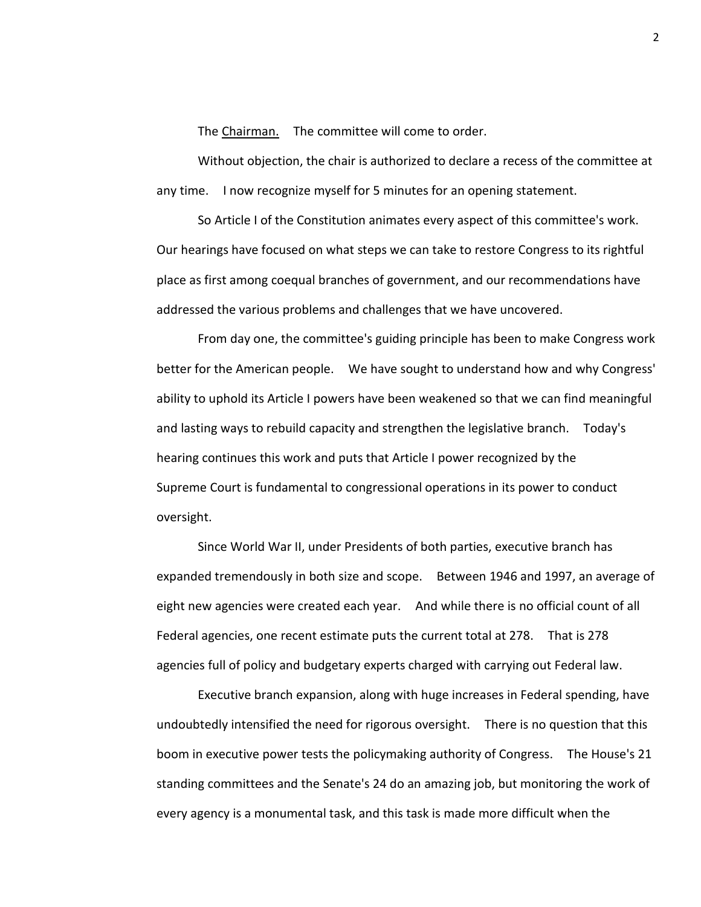The Chairman. The committee will come to order.

Without objection, the chair is authorized to declare a recess of the committee at any time. I now recognize myself for 5 minutes for an opening statement.

So Article I of the Constitution animates every aspect of this committee's work. Our hearings have focused on what steps we can take to restore Congress to its rightful place as first among coequal branches of government, and our recommendations have addressed the various problems and challenges that we have uncovered.

From day one, the committee's guiding principle has been to make Congress work better for the American people. We have sought to understand how and why Congress' ability to uphold its Article I powers have been weakened so that we can find meaningful and lasting ways to rebuild capacity and strengthen the legislative branch. Today's hearing continues this work and puts that Article I power recognized by the Supreme Court is fundamental to congressional operations in its power to conduct oversight.

Since World War II, under Presidents of both parties, executive branch has expanded tremendously in both size and scope. Between 1946 and 1997, an average of eight new agencies were created each year. And while there is no official count of all Federal agencies, one recent estimate puts the current total at 278. That is 278 agencies full of policy and budgetary experts charged with carrying out Federal law.

Executive branch expansion, along with huge increases in Federal spending, have undoubtedly intensified the need for rigorous oversight. There is no question that this boom in executive power tests the policymaking authority of Congress. The House's 21 standing committees and the Senate's 24 do an amazing job, but monitoring the work of every agency is a monumental task, and this task is made more difficult when the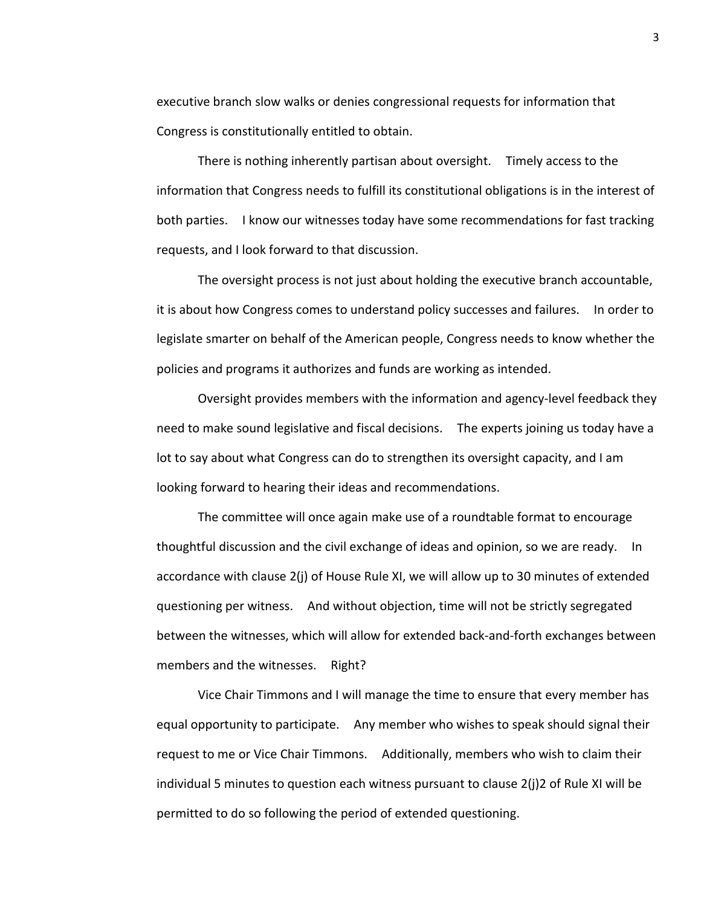executive branch slow walks or denies congressional requests for information that Congress is constitutionally entitled to obtain.

There is nothing inherently partisan about oversight. Timely access to the information that Congress needs to fulfill its constitutional obligations is in the interest of both parties. I know our witnesses today have some recommendations for fast tracking requests, and I look forward to that discussion.

The oversight process is not just about holding the executive branch accountable, it is about how Congress comes to understand policy successes and failures. In order to legislate smarter on behalf of the American people, Congress needs to know whether the policies and programs it authorizes and funds are working as intended.

Oversight provides members with the information and agency-level feedback they need to make sound legislative and fiscal decisions. The experts joining us today have a lot to say about what Congress can do to strengthen its oversight capacity, and I am looking forward to hearing their ideas and recommendations.

The committee will once again make use of a roundtable format to encourage thoughtful discussion and the civil exchange of ideas and opinion, so we are ready. In accordance with clause 2(j) of House Rule XI, we will allow up to 30 minutes of extended questioning per witness. And without objection, time will not be strictly segregated between the witnesses, which will allow for extended back-and-forth exchanges between members and the witnesses. Right?

Vice Chair Timmons and I will manage the time to ensure that every member has equal opportunity to participate. Any member who wishes to speak should signal their request to me or Vice Chair Timmons. Additionally, members who wish to claim their individual 5 minutes to question each witness pursuant to clause 2(j)2 of Rule XI will be permitted to do so following the period of extended questioning.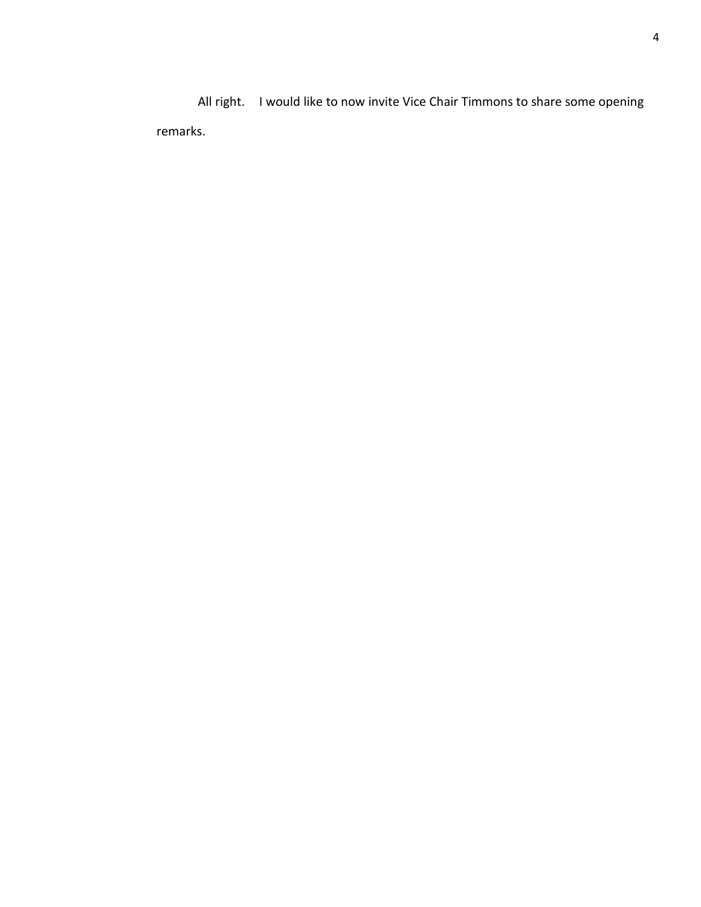All right. I would like to now invite Vice Chair Timmons to share some opening remarks.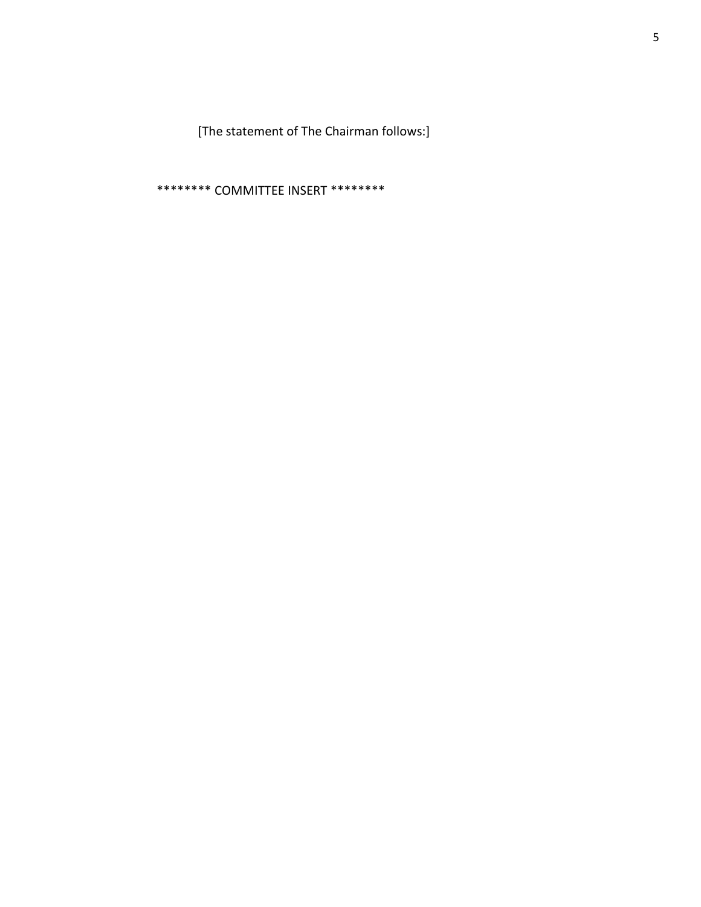[The statement of The Chairman follows:]

\*\*\*\*\*\*\*\* COMMITTEE INSERT \*\*\*\*\*\*\*\*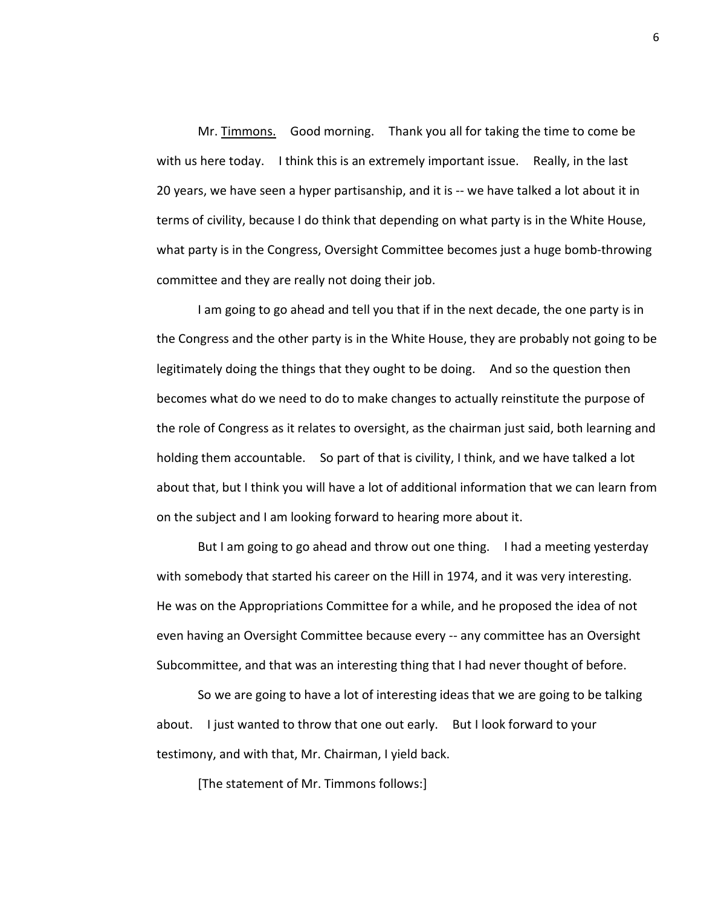Mr. Timmons. Good morning. Thank you all for taking the time to come be with us here today. I think this is an extremely important issue. Really, in the last 20 years, we have seen a hyper partisanship, and it is -- we have talked a lot about it in terms of civility, because I do think that depending on what party is in the White House, what party is in the Congress, Oversight Committee becomes just a huge bomb-throwing committee and they are really not doing their job.

I am going to go ahead and tell you that if in the next decade, the one party is in the Congress and the other party is in the White House, they are probably not going to be legitimately doing the things that they ought to be doing. And so the question then becomes what do we need to do to make changes to actually reinstitute the purpose of the role of Congress as it relates to oversight, as the chairman just said, both learning and holding them accountable. So part of that is civility, I think, and we have talked a lot about that, but I think you will have a lot of additional information that we can learn from on the subject and I am looking forward to hearing more about it.

But I am going to go ahead and throw out one thing. I had a meeting yesterday with somebody that started his career on the Hill in 1974, and it was very interesting. He was on the Appropriations Committee for a while, and he proposed the idea of not even having an Oversight Committee because every -- any committee has an Oversight Subcommittee, and that was an interesting thing that I had never thought of before.

So we are going to have a lot of interesting ideas that we are going to be talking about. I just wanted to throw that one out early. But I look forward to your testimony, and with that, Mr. Chairman, I yield back.

[The statement of Mr. Timmons follows:]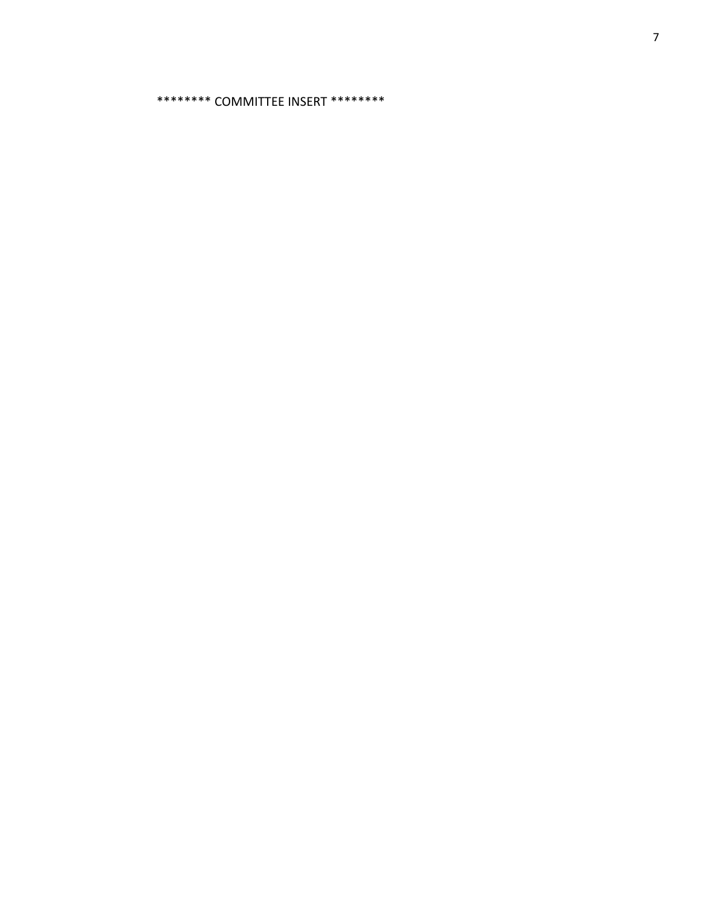\*\*\*\*\*\*\*\* COMMITTEE INSERT \*\*\*\*\*\*\*\*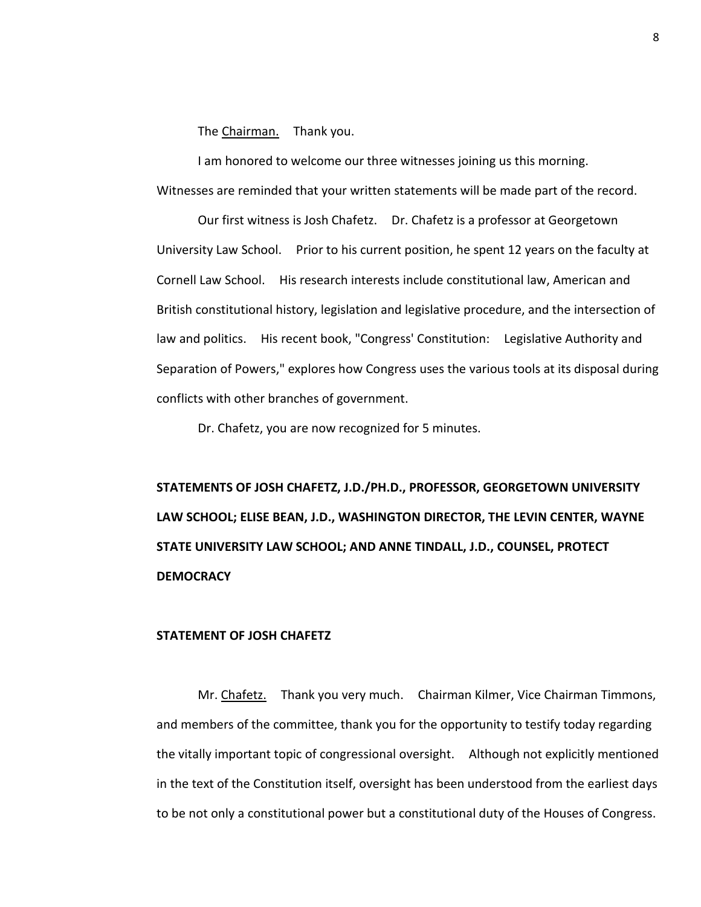The Chairman. Thank you.

I am honored to welcome our three witnesses joining us this morning. Witnesses are reminded that your written statements will be made part of the record.

Our first witness is Josh Chafetz. Dr. Chafetz is a professor at Georgetown University Law School. Prior to his current position, he spent 12 years on the faculty at Cornell Law School. His research interests include constitutional law, American and British constitutional history, legislation and legislative procedure, and the intersection of law and politics. His recent book, "Congress' Constitution: Legislative Authority and Separation of Powers," explores how Congress uses the various tools at its disposal during conflicts with other branches of government.

Dr. Chafetz, you are now recognized for 5 minutes.

**STATEMENTS OF JOSH CHAFETZ, J.D./PH.D., PROFESSOR, GEORGETOWN UNIVERSITY LAW SCHOOL; ELISE BEAN, J.D., WASHINGTON DIRECTOR, THE LEVIN CENTER, WAYNE STATE UNIVERSITY LAW SCHOOL; AND ANNE TINDALL, J.D., COUNSEL, PROTECT DEMOCRACY**

### **STATEMENT OF JOSH CHAFETZ**

Mr. Chafetz. Thank you very much. Chairman Kilmer, Vice Chairman Timmons, and members of the committee, thank you for the opportunity to testify today regarding the vitally important topic of congressional oversight. Although not explicitly mentioned in the text of the Constitution itself, oversight has been understood from the earliest days to be not only a constitutional power but a constitutional duty of the Houses of Congress.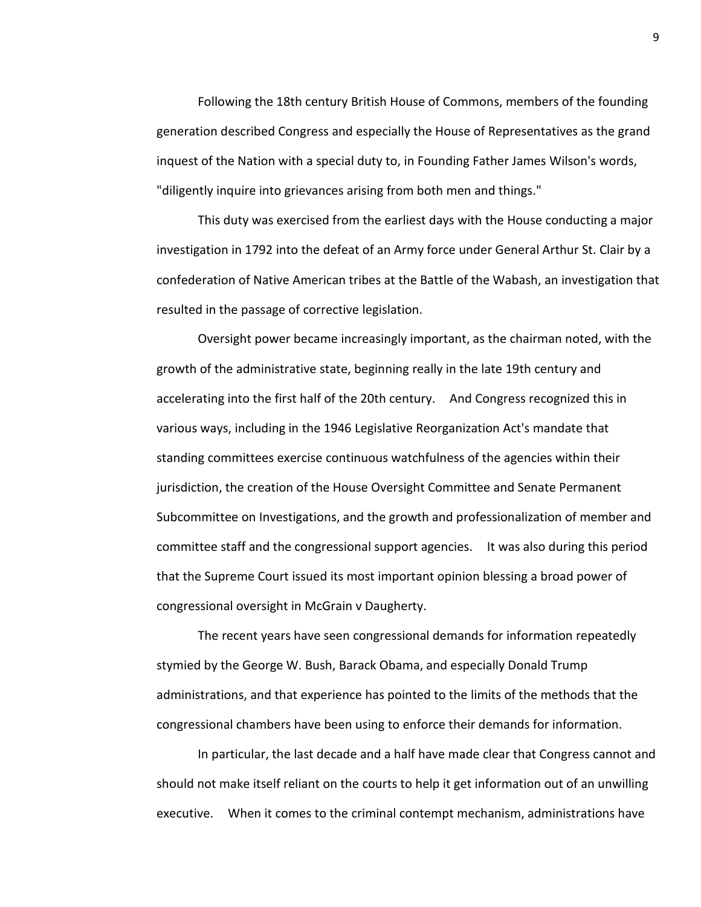Following the 18th century British House of Commons, members of the founding generation described Congress and especially the House of Representatives as the grand inquest of the Nation with a special duty to, in Founding Father James Wilson's words, "diligently inquire into grievances arising from both men and things."

This duty was exercised from the earliest days with the House conducting a major investigation in 1792 into the defeat of an Army force under General Arthur St. Clair by a confederation of Native American tribes at the Battle of the Wabash, an investigation that resulted in the passage of corrective legislation.

Oversight power became increasingly important, as the chairman noted, with the growth of the administrative state, beginning really in the late 19th century and accelerating into the first half of the 20th century. And Congress recognized this in various ways, including in the 1946 Legislative Reorganization Act's mandate that standing committees exercise continuous watchfulness of the agencies within their jurisdiction, the creation of the House Oversight Committee and Senate Permanent Subcommittee on Investigations, and the growth and professionalization of member and committee staff and the congressional support agencies. It was also during this period that the Supreme Court issued its most important opinion blessing a broad power of congressional oversight in McGrain v Daugherty.

The recent years have seen congressional demands for information repeatedly stymied by the George W. Bush, Barack Obama, and especially Donald Trump administrations, and that experience has pointed to the limits of the methods that the congressional chambers have been using to enforce their demands for information.

In particular, the last decade and a half have made clear that Congress cannot and should not make itself reliant on the courts to help it get information out of an unwilling executive. When it comes to the criminal contempt mechanism, administrations have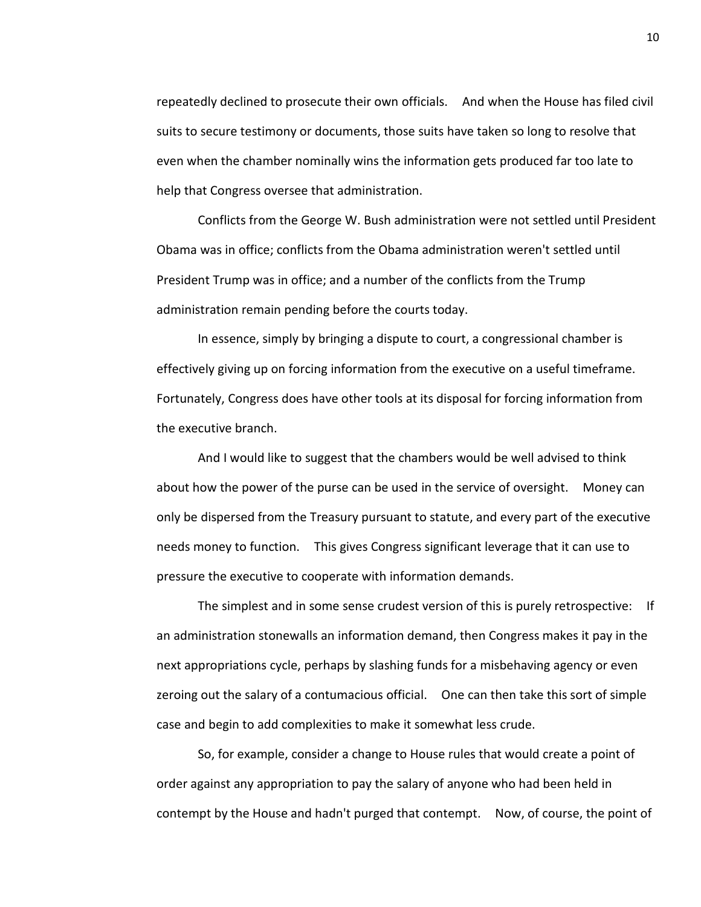repeatedly declined to prosecute their own officials. And when the House has filed civil suits to secure testimony or documents, those suits have taken so long to resolve that even when the chamber nominally wins the information gets produced far too late to help that Congress oversee that administration.

Conflicts from the George W. Bush administration were not settled until President Obama was in office; conflicts from the Obama administration weren't settled until President Trump was in office; and a number of the conflicts from the Trump administration remain pending before the courts today.

In essence, simply by bringing a dispute to court, a congressional chamber is effectively giving up on forcing information from the executive on a useful timeframe. Fortunately, Congress does have other tools at its disposal for forcing information from the executive branch.

And I would like to suggest that the chambers would be well advised to think about how the power of the purse can be used in the service of oversight. Money can only be dispersed from the Treasury pursuant to statute, and every part of the executive needs money to function. This gives Congress significant leverage that it can use to pressure the executive to cooperate with information demands.

The simplest and in some sense crudest version of this is purely retrospective: If an administration stonewalls an information demand, then Congress makes it pay in the next appropriations cycle, perhaps by slashing funds for a misbehaving agency or even zeroing out the salary of a contumacious official. One can then take this sort of simple case and begin to add complexities to make it somewhat less crude.

So, for example, consider a change to House rules that would create a point of order against any appropriation to pay the salary of anyone who had been held in contempt by the House and hadn't purged that contempt. Now, of course, the point of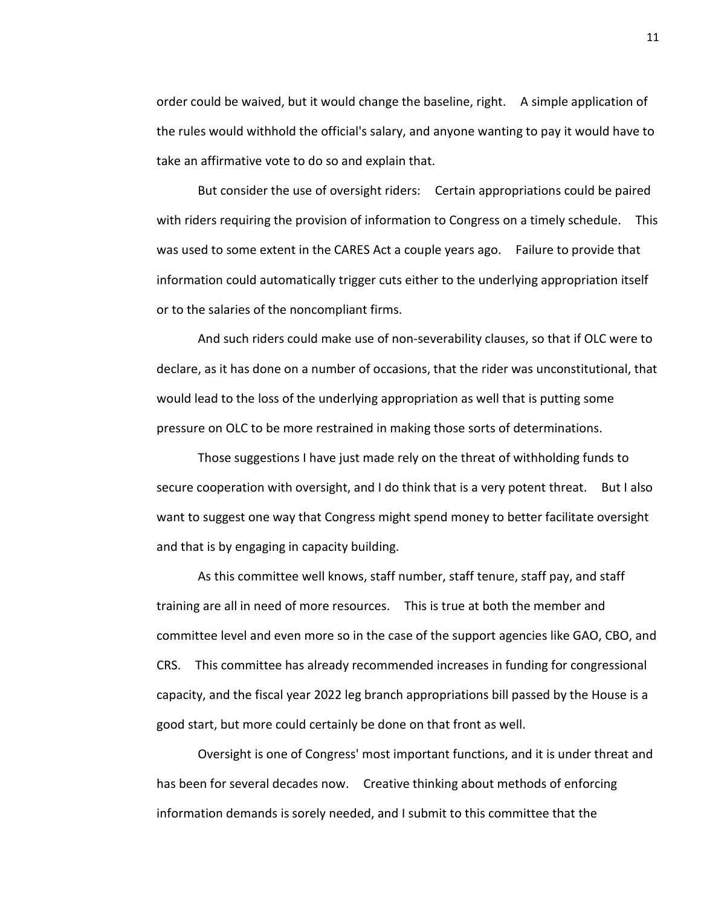order could be waived, but it would change the baseline, right. A simple application of the rules would withhold the official's salary, and anyone wanting to pay it would have to take an affirmative vote to do so and explain that.

But consider the use of oversight riders: Certain appropriations could be paired with riders requiring the provision of information to Congress on a timely schedule. This was used to some extent in the CARES Act a couple years ago. Failure to provide that information could automatically trigger cuts either to the underlying appropriation itself or to the salaries of the noncompliant firms.

And such riders could make use of non-severability clauses, so that if OLC were to declare, as it has done on a number of occasions, that the rider was unconstitutional, that would lead to the loss of the underlying appropriation as well that is putting some pressure on OLC to be more restrained in making those sorts of determinations.

Those suggestions I have just made rely on the threat of withholding funds to secure cooperation with oversight, and I do think that is a very potent threat. But I also want to suggest one way that Congress might spend money to better facilitate oversight and that is by engaging in capacity building.

As this committee well knows, staff number, staff tenure, staff pay, and staff training are all in need of more resources. This is true at both the member and committee level and even more so in the case of the support agencies like GAO, CBO, and CRS. This committee has already recommended increases in funding for congressional capacity, and the fiscal year 2022 leg branch appropriations bill passed by the House is a good start, but more could certainly be done on that front as well.

Oversight is one of Congress' most important functions, and it is under threat and has been for several decades now. Creative thinking about methods of enforcing information demands is sorely needed, and I submit to this committee that the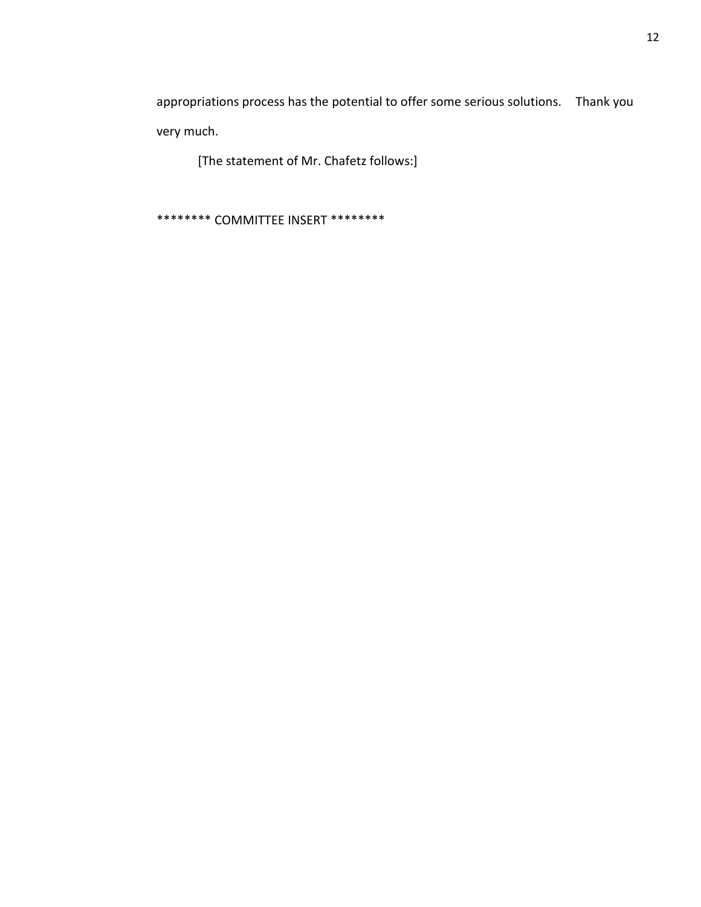appropriations process has the potential to offer some serious solutions. Thank you very much.

[The statement of Mr. Chafetz follows:]

\*\*\*\*\*\*\*\* COMMITTEE INSERT \*\*\*\*\*\*\*\*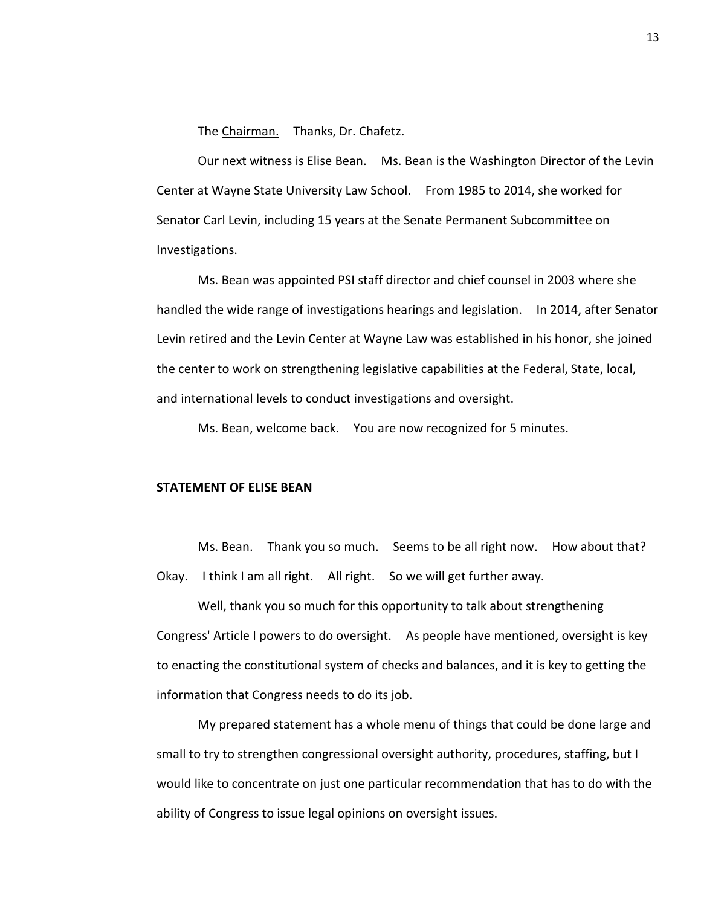The Chairman. Thanks, Dr. Chafetz.

Our next witness is Elise Bean. Ms. Bean is the Washington Director of the Levin Center at Wayne State University Law School. From 1985 to 2014, she worked for Senator Carl Levin, including 15 years at the Senate Permanent Subcommittee on Investigations.

Ms. Bean was appointed PSI staff director and chief counsel in 2003 where she handled the wide range of investigations hearings and legislation. In 2014, after Senator Levin retired and the Levin Center at Wayne Law was established in his honor, she joined the center to work on strengthening legislative capabilities at the Federal, State, local, and international levels to conduct investigations and oversight.

Ms. Bean, welcome back. You are now recognized for 5 minutes.

## **STATEMENT OF ELISE BEAN**

Ms. Bean. Thank you so much. Seems to be all right now. How about that? Okay. I think I am all right. All right. So we will get further away.

Well, thank you so much for this opportunity to talk about strengthening Congress' Article I powers to do oversight. As people have mentioned, oversight is key to enacting the constitutional system of checks and balances, and it is key to getting the information that Congress needs to do its job.

My prepared statement has a whole menu of things that could be done large and small to try to strengthen congressional oversight authority, procedures, staffing, but I would like to concentrate on just one particular recommendation that has to do with the ability of Congress to issue legal opinions on oversight issues.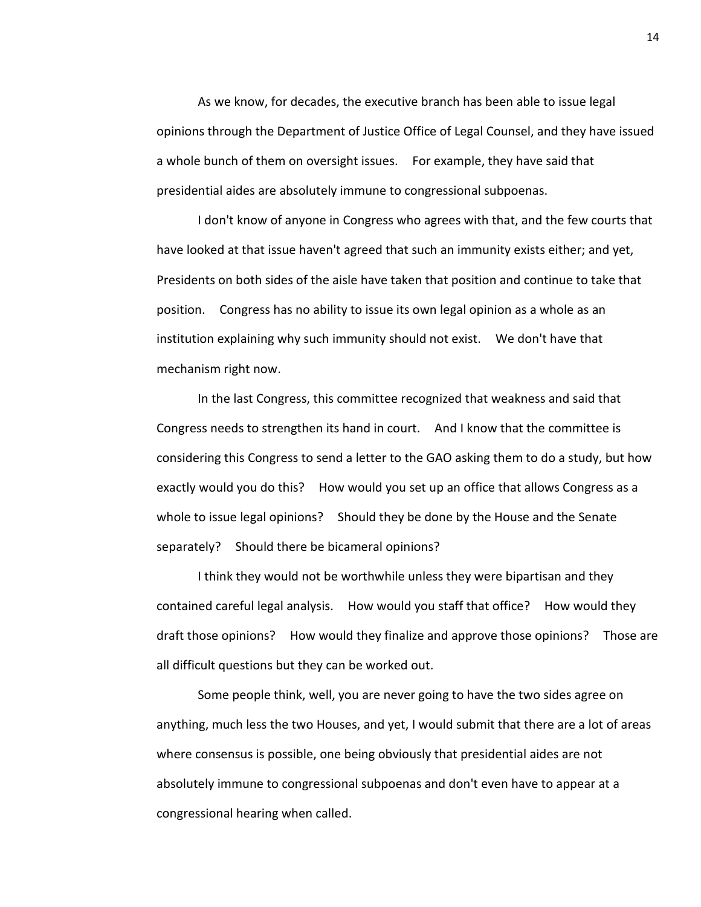As we know, for decades, the executive branch has been able to issue legal opinions through the Department of Justice Office of Legal Counsel, and they have issued a whole bunch of them on oversight issues. For example, they have said that presidential aides are absolutely immune to congressional subpoenas.

I don't know of anyone in Congress who agrees with that, and the few courts that have looked at that issue haven't agreed that such an immunity exists either; and yet, Presidents on both sides of the aisle have taken that position and continue to take that position. Congress has no ability to issue its own legal opinion as a whole as an institution explaining why such immunity should not exist. We don't have that mechanism right now.

In the last Congress, this committee recognized that weakness and said that Congress needs to strengthen its hand in court. And I know that the committee is considering this Congress to send a letter to the GAO asking them to do a study, but how exactly would you do this? How would you set up an office that allows Congress as a whole to issue legal opinions? Should they be done by the House and the Senate separately? Should there be bicameral opinions?

I think they would not be worthwhile unless they were bipartisan and they contained careful legal analysis. How would you staff that office? How would they draft those opinions? How would they finalize and approve those opinions? Those are all difficult questions but they can be worked out.

Some people think, well, you are never going to have the two sides agree on anything, much less the two Houses, and yet, I would submit that there are a lot of areas where consensus is possible, one being obviously that presidential aides are not absolutely immune to congressional subpoenas and don't even have to appear at a congressional hearing when called.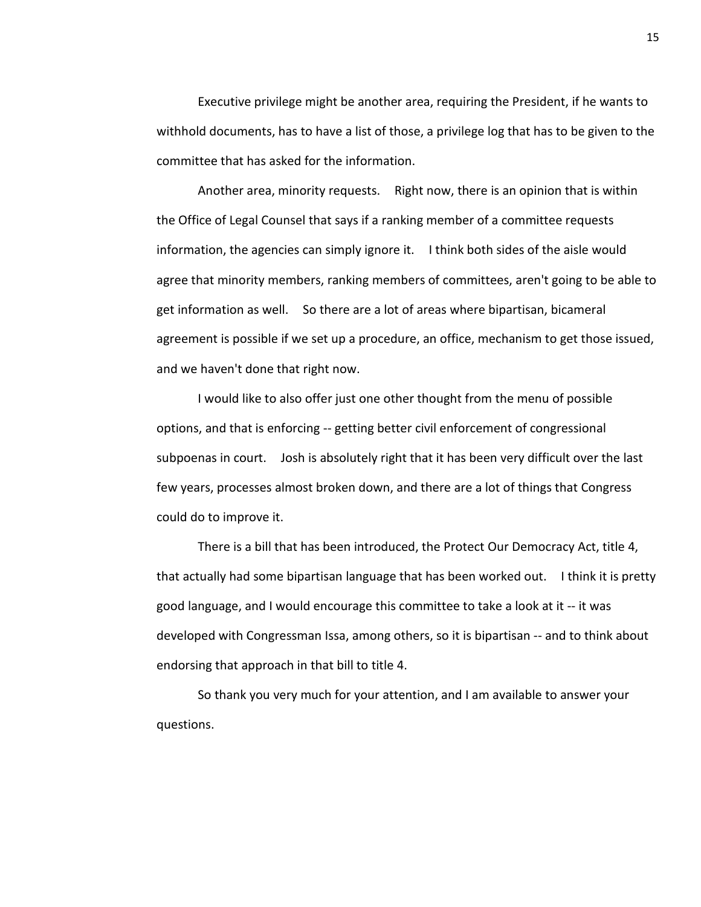Executive privilege might be another area, requiring the President, if he wants to withhold documents, has to have a list of those, a privilege log that has to be given to the committee that has asked for the information.

Another area, minority requests. Right now, there is an opinion that is within the Office of Legal Counsel that says if a ranking member of a committee requests information, the agencies can simply ignore it. I think both sides of the aisle would agree that minority members, ranking members of committees, aren't going to be able to get information as well. So there are a lot of areas where bipartisan, bicameral agreement is possible if we set up a procedure, an office, mechanism to get those issued, and we haven't done that right now.

I would like to also offer just one other thought from the menu of possible options, and that is enforcing -- getting better civil enforcement of congressional subpoenas in court. Josh is absolutely right that it has been very difficult over the last few years, processes almost broken down, and there are a lot of things that Congress could do to improve it.

There is a bill that has been introduced, the Protect Our Democracy Act, title 4, that actually had some bipartisan language that has been worked out. I think it is pretty good language, and I would encourage this committee to take a look at it -- it was developed with Congressman Issa, among others, so it is bipartisan -- and to think about endorsing that approach in that bill to title 4.

So thank you very much for your attention, and I am available to answer your questions.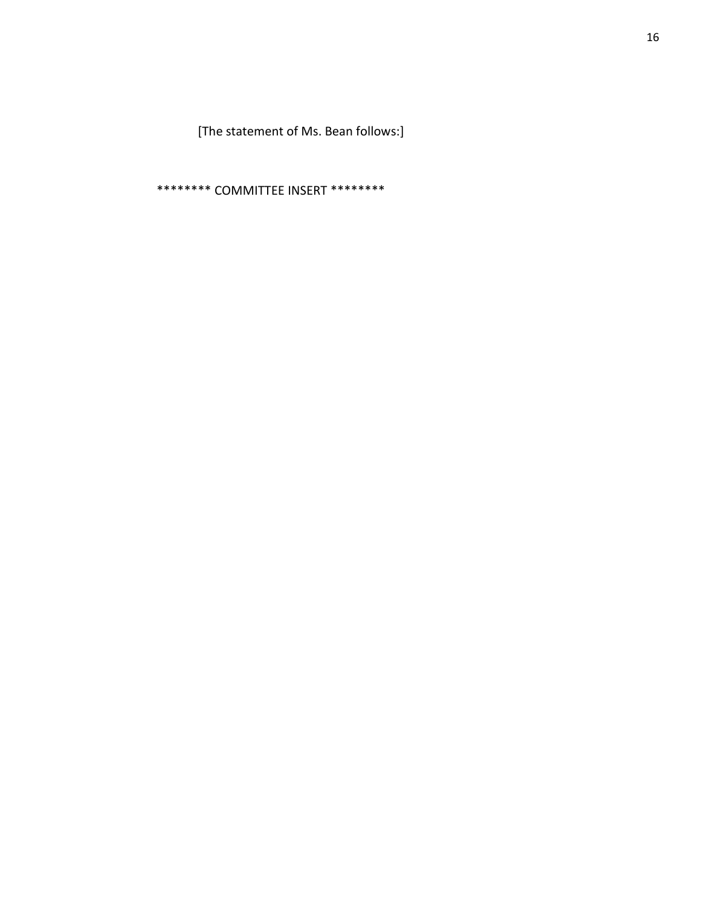[The statement of Ms. Bean follows:]

\*\*\*\*\*\*\*\* COMMITTEE INSERT \*\*\*\*\*\*\*\*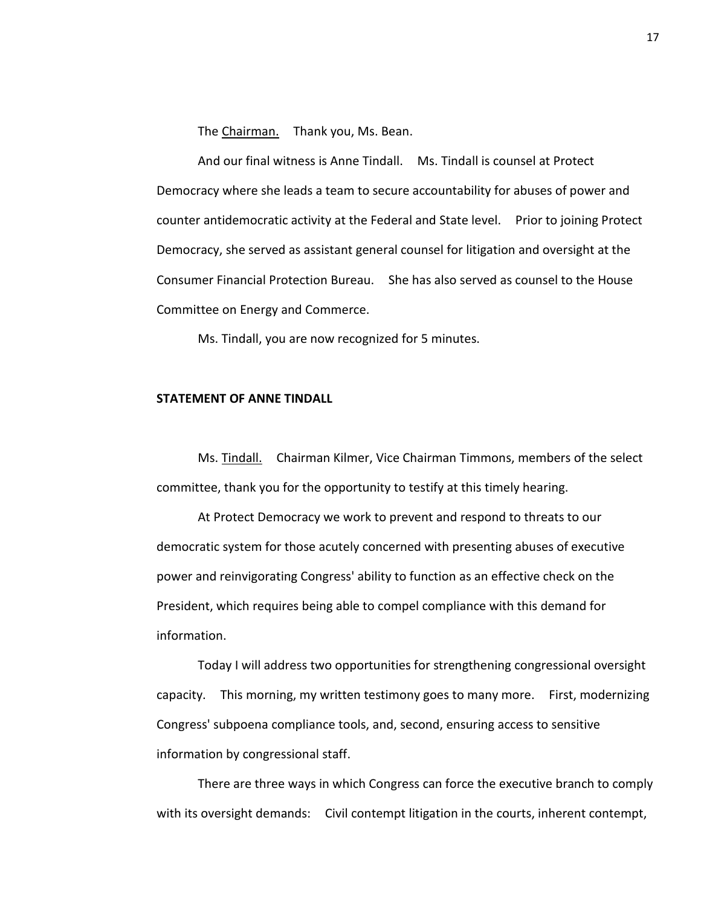The Chairman. Thank you, Ms. Bean.

And our final witness is Anne Tindall. Ms. Tindall is counsel at Protect Democracy where she leads a team to secure accountability for abuses of power and counter antidemocratic activity at the Federal and State level. Prior to joining Protect Democracy, she served as assistant general counsel for litigation and oversight at the Consumer Financial Protection Bureau. She has also served as counsel to the House Committee on Energy and Commerce.

Ms. Tindall, you are now recognized for 5 minutes.

### **STATEMENT OF ANNE TINDALL**

Ms. Tindall. Chairman Kilmer, Vice Chairman Timmons, members of the select committee, thank you for the opportunity to testify at this timely hearing.

At Protect Democracy we work to prevent and respond to threats to our democratic system for those acutely concerned with presenting abuses of executive power and reinvigorating Congress' ability to function as an effective check on the President, which requires being able to compel compliance with this demand for information.

Today I will address two opportunities for strengthening congressional oversight capacity. This morning, my written testimony goes to many more. First, modernizing Congress' subpoena compliance tools, and, second, ensuring access to sensitive information by congressional staff.

There are three ways in which Congress can force the executive branch to comply with its oversight demands: Civil contempt litigation in the courts, inherent contempt,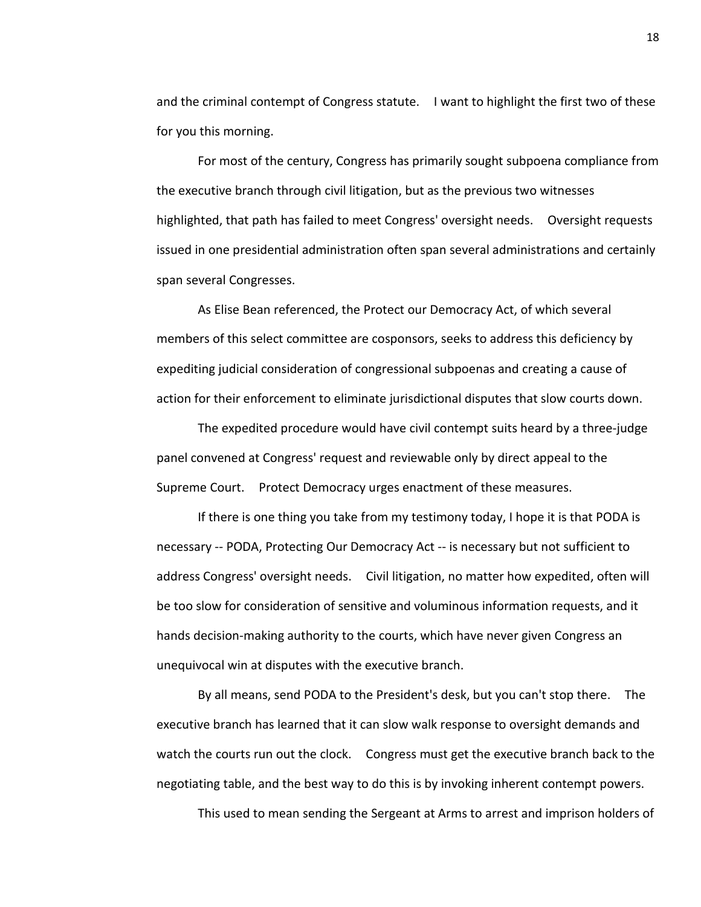and the criminal contempt of Congress statute. I want to highlight the first two of these for you this morning.

For most of the century, Congress has primarily sought subpoena compliance from the executive branch through civil litigation, but as the previous two witnesses highlighted, that path has failed to meet Congress' oversight needs. Oversight requests issued in one presidential administration often span several administrations and certainly span several Congresses.

As Elise Bean referenced, the Protect our Democracy Act, of which several members of this select committee are cosponsors, seeks to address this deficiency by expediting judicial consideration of congressional subpoenas and creating a cause of action for their enforcement to eliminate jurisdictional disputes that slow courts down.

The expedited procedure would have civil contempt suits heard by a three-judge panel convened at Congress' request and reviewable only by direct appeal to the Supreme Court. Protect Democracy urges enactment of these measures.

If there is one thing you take from my testimony today, I hope it is that PODA is necessary -- PODA, Protecting Our Democracy Act -- is necessary but not sufficient to address Congress' oversight needs. Civil litigation, no matter how expedited, often will be too slow for consideration of sensitive and voluminous information requests, and it hands decision-making authority to the courts, which have never given Congress an unequivocal win at disputes with the executive branch.

By all means, send PODA to the President's desk, but you can't stop there. The executive branch has learned that it can slow walk response to oversight demands and watch the courts run out the clock. Congress must get the executive branch back to the negotiating table, and the best way to do this is by invoking inherent contempt powers.

This used to mean sending the Sergeant at Arms to arrest and imprison holders of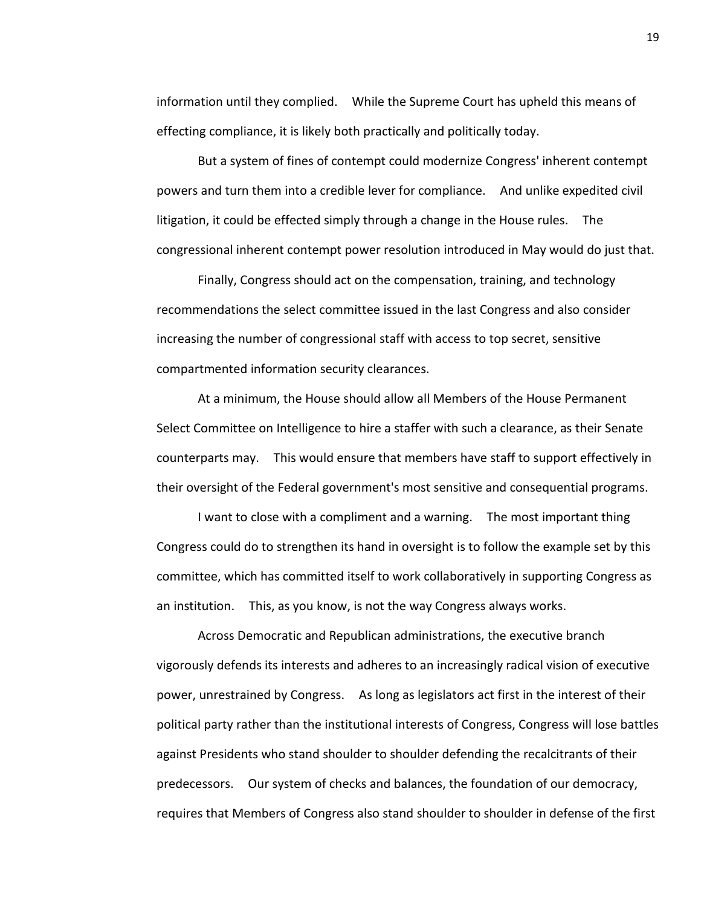information until they complied. While the Supreme Court has upheld this means of effecting compliance, it is likely both practically and politically today.

But a system of fines of contempt could modernize Congress' inherent contempt powers and turn them into a credible lever for compliance. And unlike expedited civil litigation, it could be effected simply through a change in the House rules. The congressional inherent contempt power resolution introduced in May would do just that.

Finally, Congress should act on the compensation, training, and technology recommendations the select committee issued in the last Congress and also consider increasing the number of congressional staff with access to top secret, sensitive compartmented information security clearances.

At a minimum, the House should allow all Members of the House Permanent Select Committee on Intelligence to hire a staffer with such a clearance, as their Senate counterparts may. This would ensure that members have staff to support effectively in their oversight of the Federal government's most sensitive and consequential programs.

I want to close with a compliment and a warning. The most important thing Congress could do to strengthen its hand in oversight is to follow the example set by this committee, which has committed itself to work collaboratively in supporting Congress as an institution. This, as you know, is not the way Congress always works.

Across Democratic and Republican administrations, the executive branch vigorously defends its interests and adheres to an increasingly radical vision of executive power, unrestrained by Congress. As long as legislators act first in the interest of their political party rather than the institutional interests of Congress, Congress will lose battles against Presidents who stand shoulder to shoulder defending the recalcitrants of their predecessors. Our system of checks and balances, the foundation of our democracy, requires that Members of Congress also stand shoulder to shoulder in defense of the first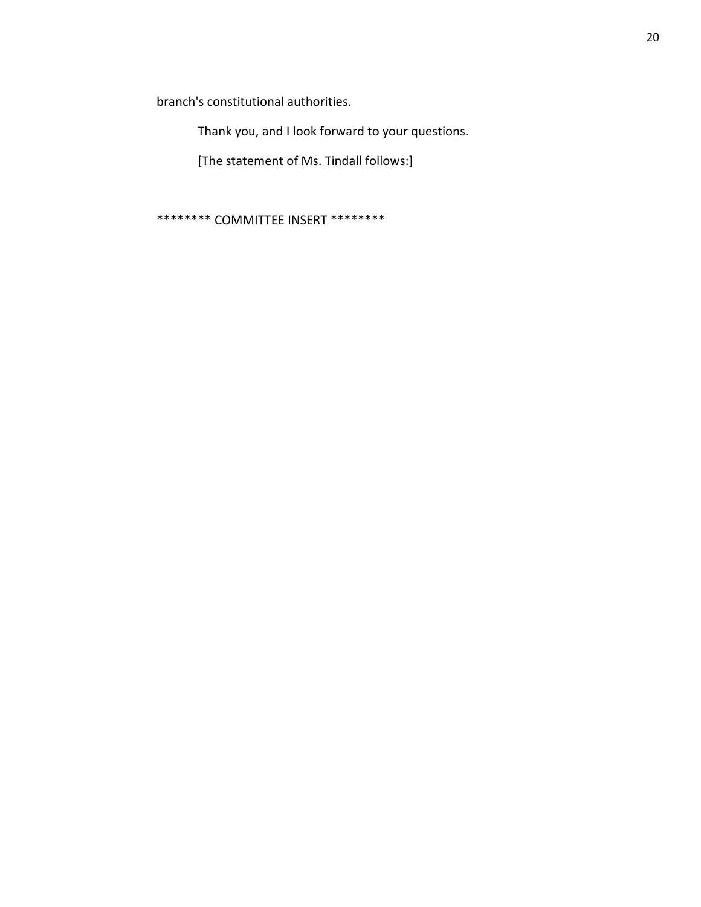branch's constitutional authorities.

Thank you, and I look forward to your questions.

[The statement of Ms. Tindall follows:]

\*\*\*\*\*\*\*\* COMMITTEE INSERT \*\*\*\*\*\*\*\*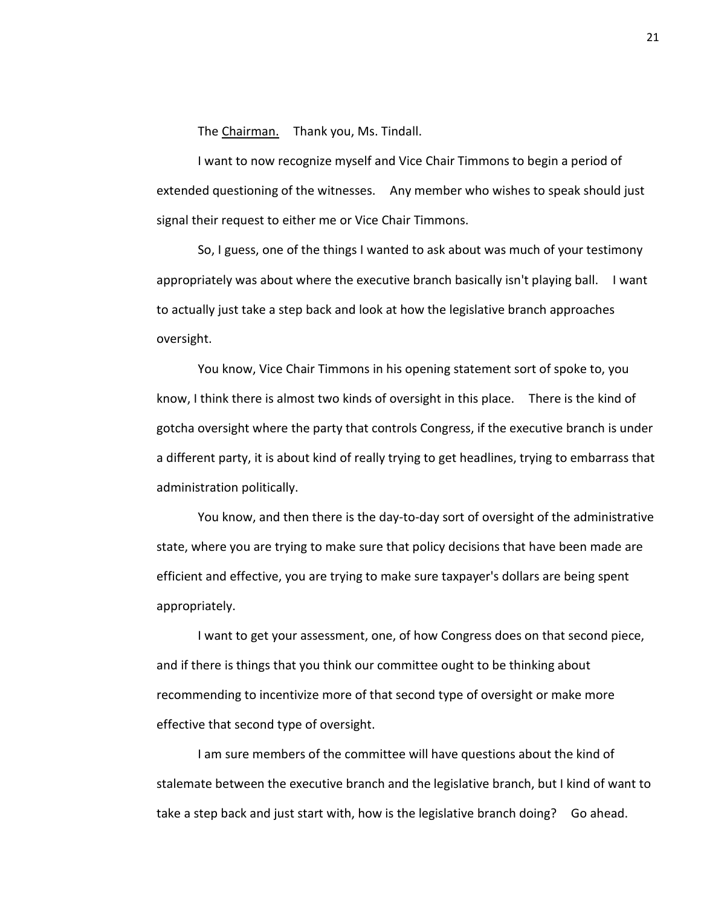The Chairman. Thank you, Ms. Tindall.

I want to now recognize myself and Vice Chair Timmons to begin a period of extended questioning of the witnesses. Any member who wishes to speak should just signal their request to either me or Vice Chair Timmons.

So, I guess, one of the things I wanted to ask about was much of your testimony appropriately was about where the executive branch basically isn't playing ball. I want to actually just take a step back and look at how the legislative branch approaches oversight.

You know, Vice Chair Timmons in his opening statement sort of spoke to, you know, I think there is almost two kinds of oversight in this place. There is the kind of gotcha oversight where the party that controls Congress, if the executive branch is under a different party, it is about kind of really trying to get headlines, trying to embarrass that administration politically.

You know, and then there is the day-to-day sort of oversight of the administrative state, where you are trying to make sure that policy decisions that have been made are efficient and effective, you are trying to make sure taxpayer's dollars are being spent appropriately.

I want to get your assessment, one, of how Congress does on that second piece, and if there is things that you think our committee ought to be thinking about recommending to incentivize more of that second type of oversight or make more effective that second type of oversight.

I am sure members of the committee will have questions about the kind of stalemate between the executive branch and the legislative branch, but I kind of want to take a step back and just start with, how is the legislative branch doing? Go ahead.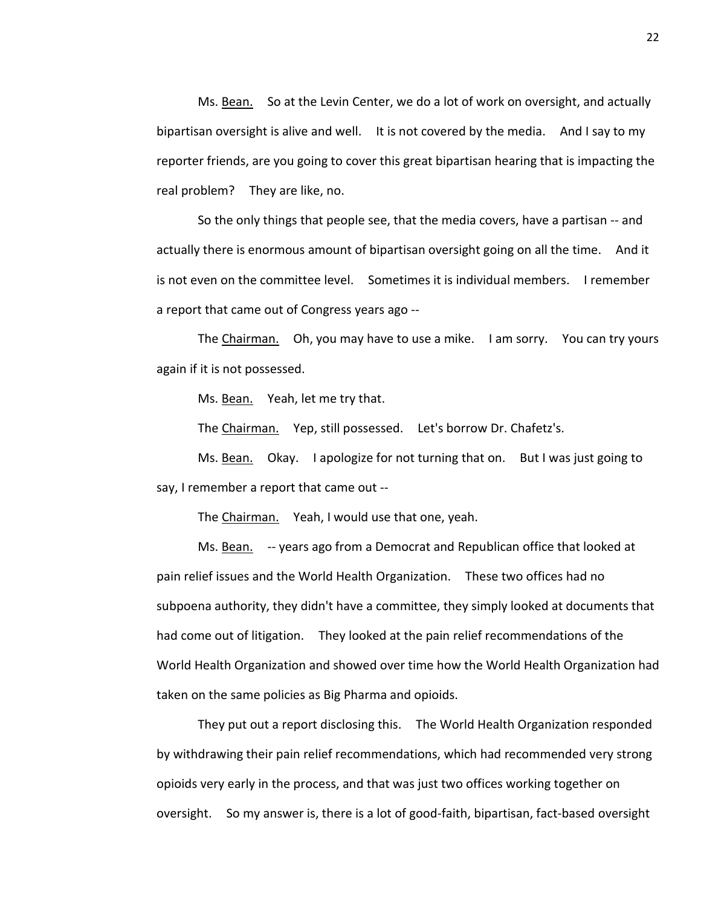Ms. Bean. So at the Levin Center, we do a lot of work on oversight, and actually bipartisan oversight is alive and well. It is not covered by the media. And I say to my reporter friends, are you going to cover this great bipartisan hearing that is impacting the real problem? They are like, no.

So the only things that people see, that the media covers, have a partisan -- and actually there is enormous amount of bipartisan oversight going on all the time. And it is not even on the committee level. Sometimes it is individual members. I remember a report that came out of Congress years ago --

The Chairman. Oh, you may have to use a mike. I am sorry. You can try yours again if it is not possessed.

Ms. Bean. Yeah, let me try that.

The Chairman. Yep, still possessed. Let's borrow Dr. Chafetz's.

Ms. Bean. Okay. I apologize for not turning that on. But I was just going to say, I remember a report that came out --

The Chairman. Yeah, I would use that one, yeah.

Ms. Bean. -- years ago from a Democrat and Republican office that looked at pain relief issues and the World Health Organization. These two offices had no subpoena authority, they didn't have a committee, they simply looked at documents that had come out of litigation. They looked at the pain relief recommendations of the World Health Organization and showed over time how the World Health Organization had taken on the same policies as Big Pharma and opioids.

They put out a report disclosing this. The World Health Organization responded by withdrawing their pain relief recommendations, which had recommended very strong opioids very early in the process, and that was just two offices working together on oversight. So my answer is, there is a lot of good-faith, bipartisan, fact-based oversight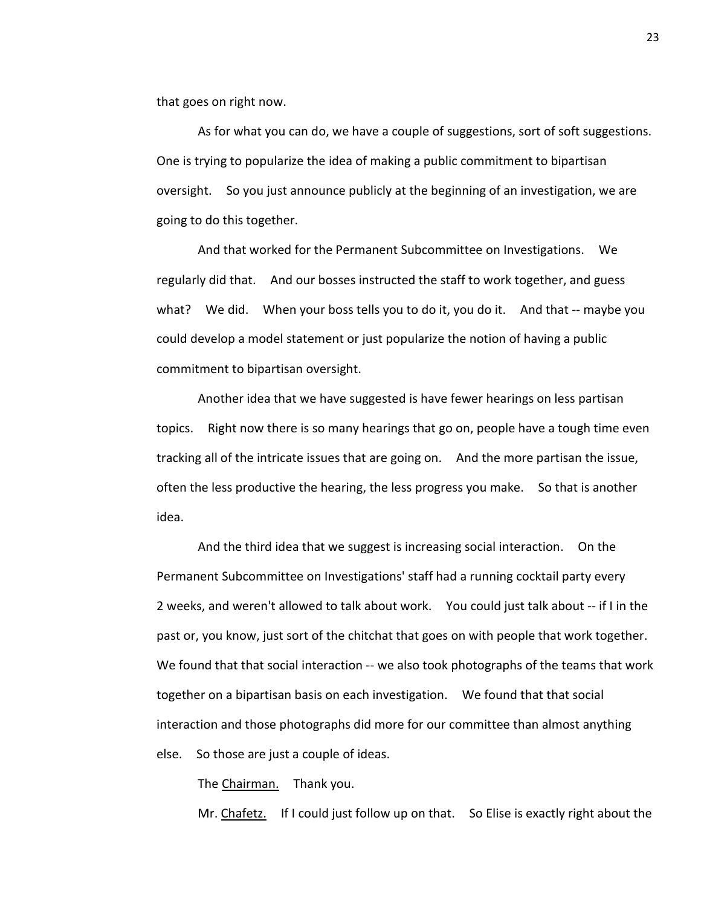that goes on right now.

As for what you can do, we have a couple of suggestions, sort of soft suggestions. One is trying to popularize the idea of making a public commitment to bipartisan oversight. So you just announce publicly at the beginning of an investigation, we are going to do this together.

And that worked for the Permanent Subcommittee on Investigations. We regularly did that. And our bosses instructed the staff to work together, and guess what? We did. When your boss tells you to do it, you do it. And that -- maybe you could develop a model statement or just popularize the notion of having a public commitment to bipartisan oversight.

Another idea that we have suggested is have fewer hearings on less partisan topics. Right now there is so many hearings that go on, people have a tough time even tracking all of the intricate issues that are going on. And the more partisan the issue, often the less productive the hearing, the less progress you make. So that is another idea.

And the third idea that we suggest is increasing social interaction. On the Permanent Subcommittee on Investigations' staff had a running cocktail party every 2 weeks, and weren't allowed to talk about work. You could just talk about -- if I in the past or, you know, just sort of the chitchat that goes on with people that work together. We found that that social interaction -- we also took photographs of the teams that work together on a bipartisan basis on each investigation. We found that that social interaction and those photographs did more for our committee than almost anything else. So those are just a couple of ideas.

The Chairman. Thank you.

Mr. Chafetz. If I could just follow up on that. So Elise is exactly right about the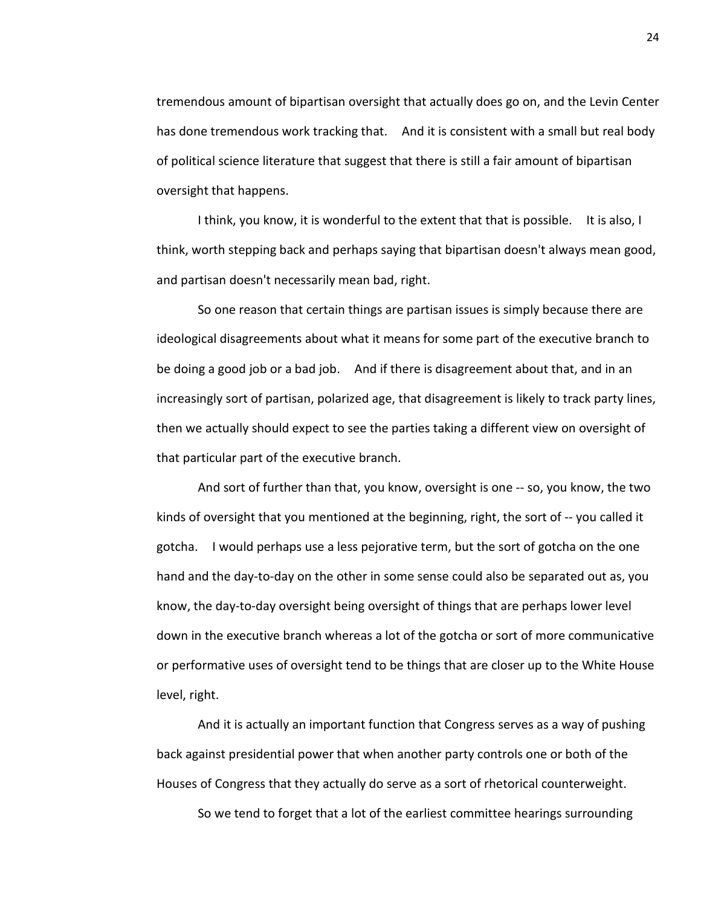tremendous amount of bipartisan oversight that actually does go on, and the Levin Center has done tremendous work tracking that. And it is consistent with a small but real body of political science literature that suggest that there is still a fair amount of bipartisan oversight that happens.

I think, you know, it is wonderful to the extent that that is possible. It is also, I think, worth stepping back and perhaps saying that bipartisan doesn't always mean good, and partisan doesn't necessarily mean bad, right.

So one reason that certain things are partisan issues is simply because there are ideological disagreements about what it means for some part of the executive branch to be doing a good job or a bad job. And if there is disagreement about that, and in an increasingly sort of partisan, polarized age, that disagreement is likely to track party lines, then we actually should expect to see the parties taking a different view on oversight of that particular part of the executive branch.

And sort of further than that, you know, oversight is one -- so, you know, the two kinds of oversight that you mentioned at the beginning, right, the sort of -- you called it gotcha. I would perhaps use a less pejorative term, but the sort of gotcha on the one hand and the day-to-day on the other in some sense could also be separated out as, you know, the day-to-day oversight being oversight of things that are perhaps lower level down in the executive branch whereas a lot of the gotcha or sort of more communicative or performative uses of oversight tend to be things that are closer up to the White House level, right.

And it is actually an important function that Congress serves as a way of pushing back against presidential power that when another party controls one or both of the Houses of Congress that they actually do serve as a sort of rhetorical counterweight.

So we tend to forget that a lot of the earliest committee hearings surrounding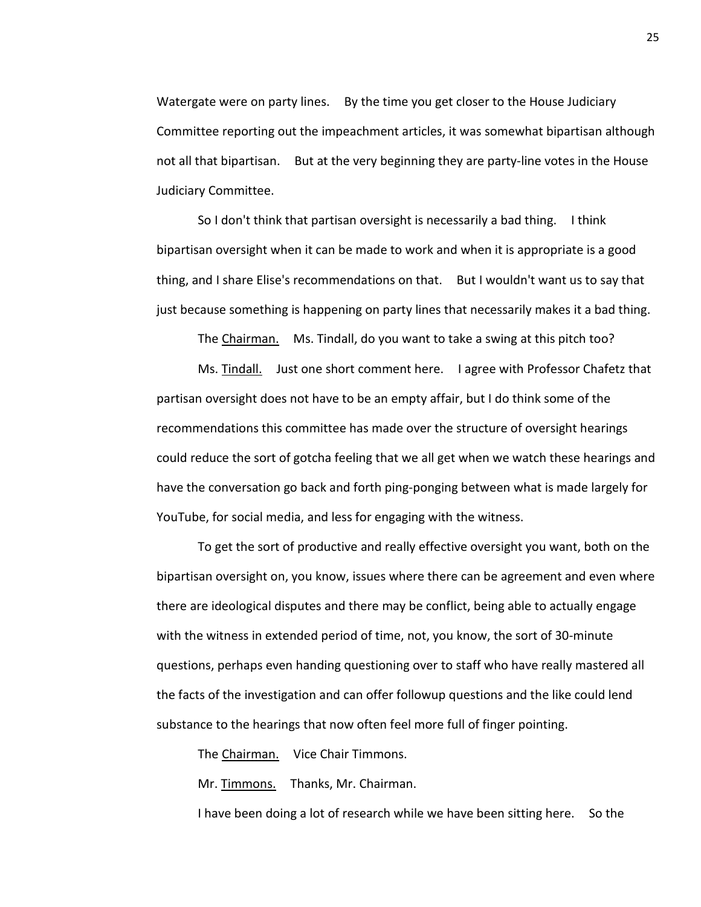Watergate were on party lines. By the time you get closer to the House Judiciary Committee reporting out the impeachment articles, it was somewhat bipartisan although not all that bipartisan. But at the very beginning they are party-line votes in the House Judiciary Committee.

So I don't think that partisan oversight is necessarily a bad thing. I think bipartisan oversight when it can be made to work and when it is appropriate is a good thing, and I share Elise's recommendations on that. But I wouldn't want us to say that just because something is happening on party lines that necessarily makes it a bad thing.

The Chairman. Ms. Tindall, do you want to take a swing at this pitch too?

Ms. Tindall. Just one short comment here. I agree with Professor Chafetz that partisan oversight does not have to be an empty affair, but I do think some of the recommendations this committee has made over the structure of oversight hearings could reduce the sort of gotcha feeling that we all get when we watch these hearings and have the conversation go back and forth ping-ponging between what is made largely for YouTube, for social media, and less for engaging with the witness.

To get the sort of productive and really effective oversight you want, both on the bipartisan oversight on, you know, issues where there can be agreement and even where there are ideological disputes and there may be conflict, being able to actually engage with the witness in extended period of time, not, you know, the sort of 30-minute questions, perhaps even handing questioning over to staff who have really mastered all the facts of the investigation and can offer followup questions and the like could lend substance to the hearings that now often feel more full of finger pointing.

The Chairman. Vice Chair Timmons.

Mr. Timmons. Thanks, Mr. Chairman.

I have been doing a lot of research while we have been sitting here. So the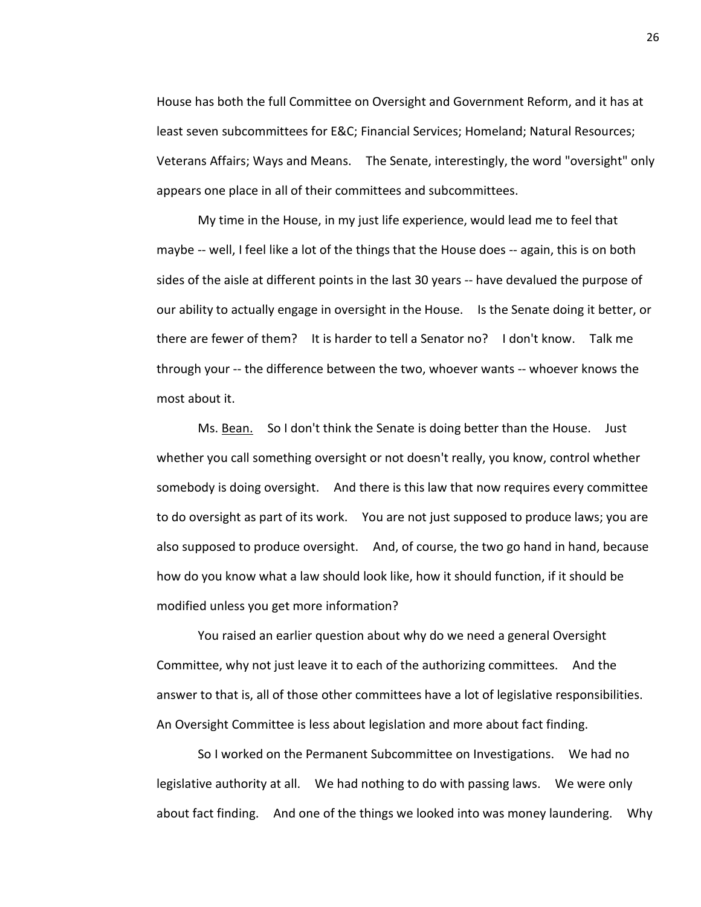House has both the full Committee on Oversight and Government Reform, and it has at least seven subcommittees for E&C; Financial Services; Homeland; Natural Resources; Veterans Affairs; Ways and Means. The Senate, interestingly, the word "oversight" only appears one place in all of their committees and subcommittees.

My time in the House, in my just life experience, would lead me to feel that maybe -- well, I feel like a lot of the things that the House does -- again, this is on both sides of the aisle at different points in the last 30 years -- have devalued the purpose of our ability to actually engage in oversight in the House. Is the Senate doing it better, or there are fewer of them? It is harder to tell a Senator no? I don't know. Talk me through your -- the difference between the two, whoever wants -- whoever knows the most about it.

Ms. Bean. So I don't think the Senate is doing better than the House. Just whether you call something oversight or not doesn't really, you know, control whether somebody is doing oversight. And there is this law that now requires every committee to do oversight as part of its work. You are not just supposed to produce laws; you are also supposed to produce oversight. And, of course, the two go hand in hand, because how do you know what a law should look like, how it should function, if it should be modified unless you get more information?

You raised an earlier question about why do we need a general Oversight Committee, why not just leave it to each of the authorizing committees. And the answer to that is, all of those other committees have a lot of legislative responsibilities. An Oversight Committee is less about legislation and more about fact finding.

So I worked on the Permanent Subcommittee on Investigations. We had no legislative authority at all. We had nothing to do with passing laws. We were only about fact finding. And one of the things we looked into was money laundering. Why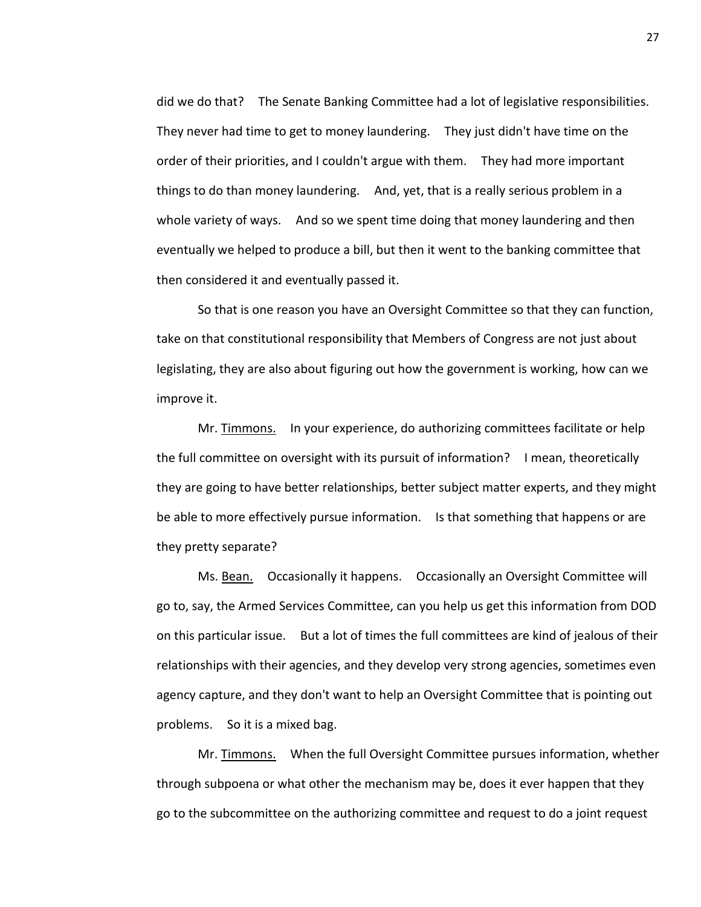did we do that? The Senate Banking Committee had a lot of legislative responsibilities. They never had time to get to money laundering. They just didn't have time on the order of their priorities, and I couldn't argue with them. They had more important things to do than money laundering. And, yet, that is a really serious problem in a whole variety of ways. And so we spent time doing that money laundering and then eventually we helped to produce a bill, but then it went to the banking committee that then considered it and eventually passed it.

So that is one reason you have an Oversight Committee so that they can function, take on that constitutional responsibility that Members of Congress are not just about legislating, they are also about figuring out how the government is working, how can we improve it.

Mr. Timmons. In your experience, do authorizing committees facilitate or help the full committee on oversight with its pursuit of information? I mean, theoretically they are going to have better relationships, better subject matter experts, and they might be able to more effectively pursue information. Is that something that happens or are they pretty separate?

Ms. Bean. Occasionally it happens. Occasionally an Oversight Committee will go to, say, the Armed Services Committee, can you help us get this information from DOD on this particular issue. But a lot of times the full committees are kind of jealous of their relationships with their agencies, and they develop very strong agencies, sometimes even agency capture, and they don't want to help an Oversight Committee that is pointing out problems. So it is a mixed bag.

Mr. Timmons. When the full Oversight Committee pursues information, whether through subpoena or what other the mechanism may be, does it ever happen that they go to the subcommittee on the authorizing committee and request to do a joint request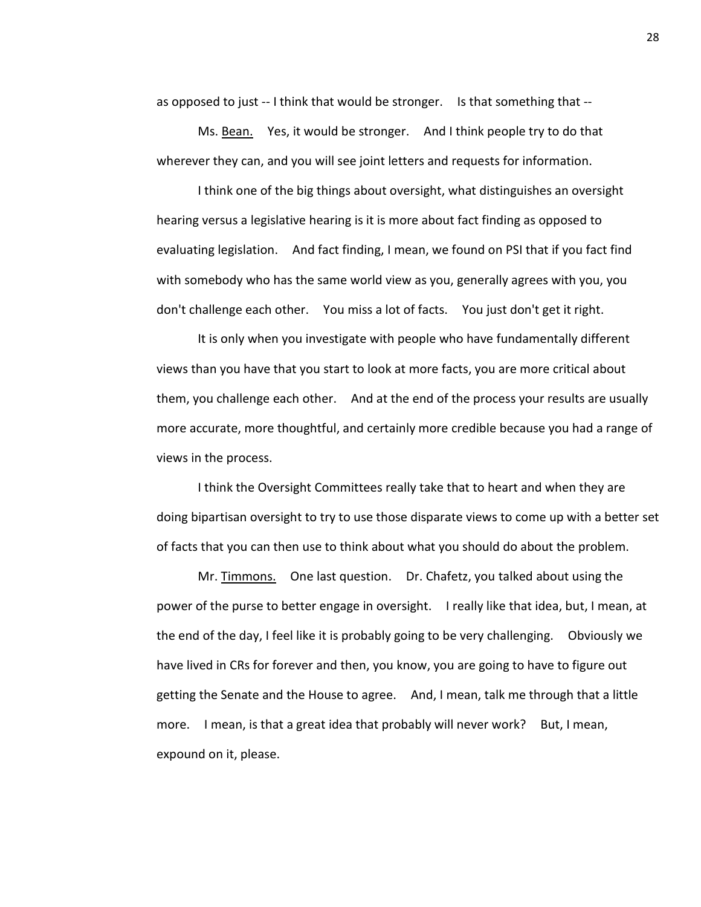as opposed to just -- I think that would be stronger. Is that something that --

Ms. Bean. Yes, it would be stronger. And I think people try to do that wherever they can, and you will see joint letters and requests for information.

I think one of the big things about oversight, what distinguishes an oversight hearing versus a legislative hearing is it is more about fact finding as opposed to evaluating legislation. And fact finding, I mean, we found on PSI that if you fact find with somebody who has the same world view as you, generally agrees with you, you don't challenge each other. You miss a lot of facts. You just don't get it right.

It is only when you investigate with people who have fundamentally different views than you have that you start to look at more facts, you are more critical about them, you challenge each other. And at the end of the process your results are usually more accurate, more thoughtful, and certainly more credible because you had a range of views in the process.

I think the Oversight Committees really take that to heart and when they are doing bipartisan oversight to try to use those disparate views to come up with a better set of facts that you can then use to think about what you should do about the problem.

Mr. Timmons. One last question. Dr. Chafetz, you talked about using the power of the purse to better engage in oversight. I really like that idea, but, I mean, at the end of the day, I feel like it is probably going to be very challenging. Obviously we have lived in CRs for forever and then, you know, you are going to have to figure out getting the Senate and the House to agree. And, I mean, talk me through that a little more. I mean, is that a great idea that probably will never work? But, I mean, expound on it, please.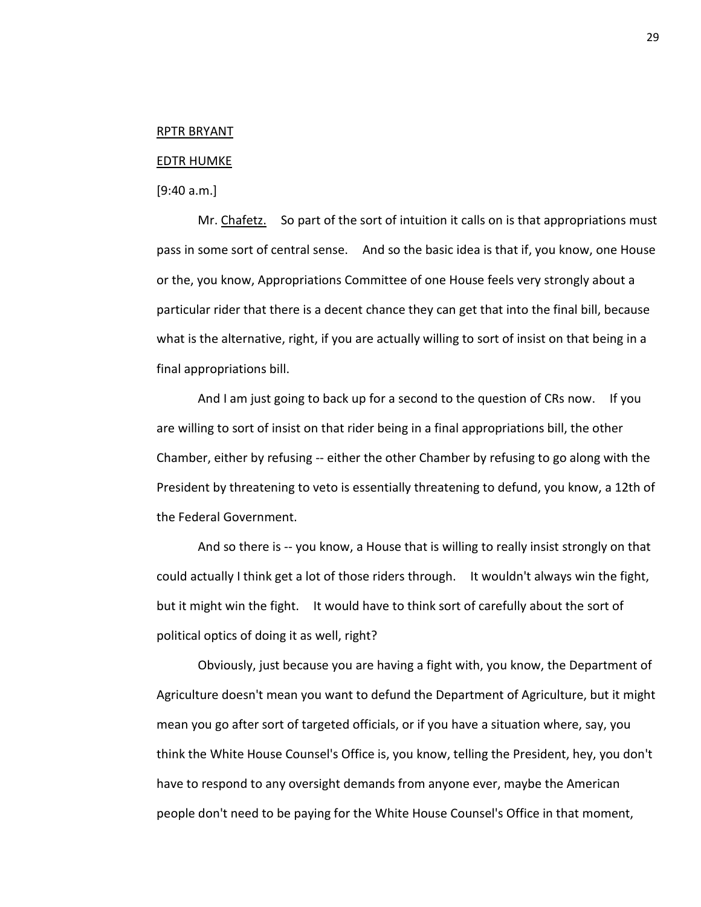#### RPTR BRYANT

#### EDTR HUMKE

[9:40 a.m.]

Mr. Chafetz. So part of the sort of intuition it calls on is that appropriations must pass in some sort of central sense. And so the basic idea is that if, you know, one House or the, you know, Appropriations Committee of one House feels very strongly about a particular rider that there is a decent chance they can get that into the final bill, because what is the alternative, right, if you are actually willing to sort of insist on that being in a final appropriations bill.

And I am just going to back up for a second to the question of CRs now. If you are willing to sort of insist on that rider being in a final appropriations bill, the other Chamber, either by refusing -- either the other Chamber by refusing to go along with the President by threatening to veto is essentially threatening to defund, you know, a 12th of the Federal Government.

And so there is -- you know, a House that is willing to really insist strongly on that could actually I think get a lot of those riders through. It wouldn't always win the fight, but it might win the fight. It would have to think sort of carefully about the sort of political optics of doing it as well, right?

Obviously, just because you are having a fight with, you know, the Department of Agriculture doesn't mean you want to defund the Department of Agriculture, but it might mean you go after sort of targeted officials, or if you have a situation where, say, you think the White House Counsel's Office is, you know, telling the President, hey, you don't have to respond to any oversight demands from anyone ever, maybe the American people don't need to be paying for the White House Counsel's Office in that moment,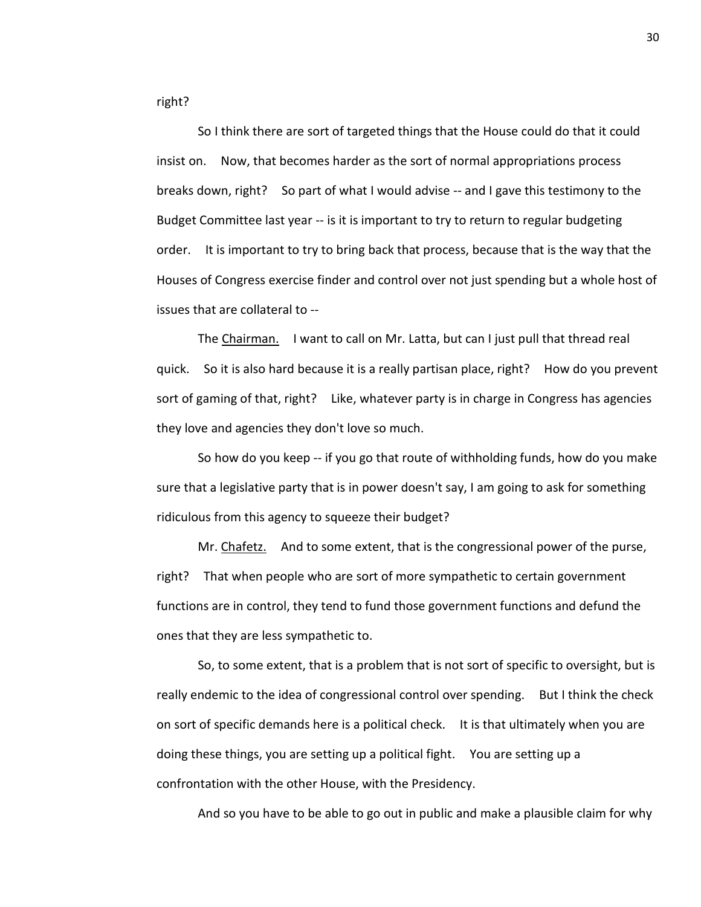right?

So I think there are sort of targeted things that the House could do that it could insist on. Now, that becomes harder as the sort of normal appropriations process breaks down, right? So part of what I would advise -- and I gave this testimony to the Budget Committee last year -- is it is important to try to return to regular budgeting order. It is important to try to bring back that process, because that is the way that the Houses of Congress exercise finder and control over not just spending but a whole host of issues that are collateral to --

The Chairman. I want to call on Mr. Latta, but can I just pull that thread real quick. So it is also hard because it is a really partisan place, right? How do you prevent sort of gaming of that, right? Like, whatever party is in charge in Congress has agencies they love and agencies they don't love so much.

So how do you keep -- if you go that route of withholding funds, how do you make sure that a legislative party that is in power doesn't say, I am going to ask for something ridiculous from this agency to squeeze their budget?

Mr. Chafetz. And to some extent, that is the congressional power of the purse, right? That when people who are sort of more sympathetic to certain government functions are in control, they tend to fund those government functions and defund the ones that they are less sympathetic to.

So, to some extent, that is a problem that is not sort of specific to oversight, but is really endemic to the idea of congressional control over spending. But I think the check on sort of specific demands here is a political check. It is that ultimately when you are doing these things, you are setting up a political fight. You are setting up a confrontation with the other House, with the Presidency.

And so you have to be able to go out in public and make a plausible claim for why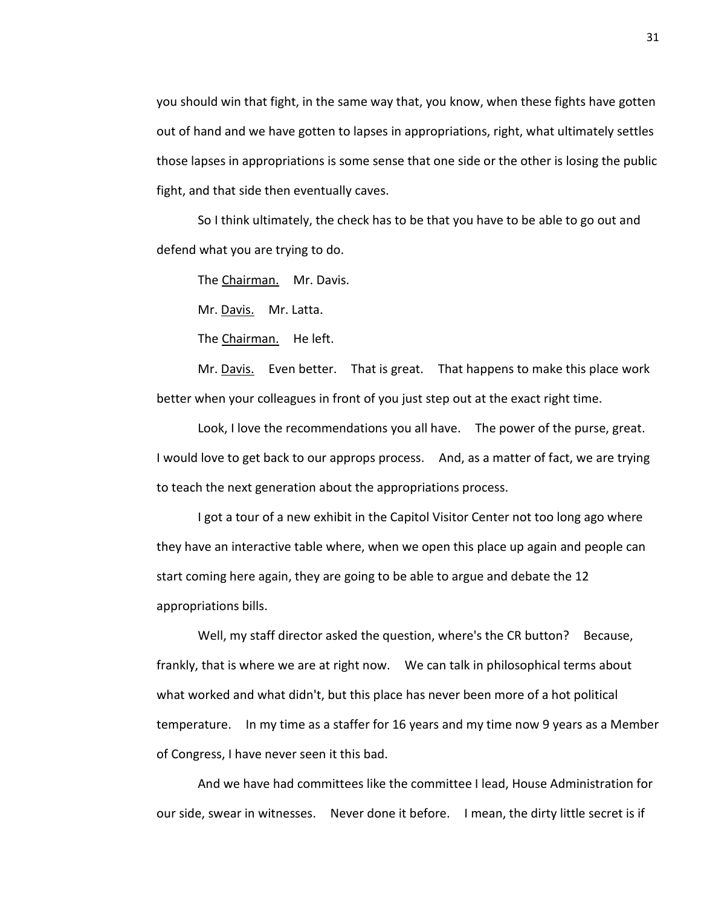you should win that fight, in the same way that, you know, when these fights have gotten out of hand and we have gotten to lapses in appropriations, right, what ultimately settles those lapses in appropriations is some sense that one side or the other is losing the public fight, and that side then eventually caves.

So I think ultimately, the check has to be that you have to be able to go out and defend what you are trying to do.

The Chairman. Mr. Davis.

Mr. Davis. Mr. Latta.

The Chairman. He left.

Mr. Davis. Even better. That is great. That happens to make this place work better when your colleagues in front of you just step out at the exact right time.

Look, I love the recommendations you all have. The power of the purse, great. I would love to get back to our approps process. And, as a matter of fact, we are trying to teach the next generation about the appropriations process.

I got a tour of a new exhibit in the Capitol Visitor Center not too long ago where they have an interactive table where, when we open this place up again and people can start coming here again, they are going to be able to argue and debate the 12 appropriations bills.

Well, my staff director asked the question, where's the CR button? Because, frankly, that is where we are at right now. We can talk in philosophical terms about what worked and what didn't, but this place has never been more of a hot political temperature. In my time as a staffer for 16 years and my time now 9 years as a Member of Congress, I have never seen it this bad.

And we have had committees like the committee I lead, House Administration for our side, swear in witnesses. Never done it before. I mean, the dirty little secret is if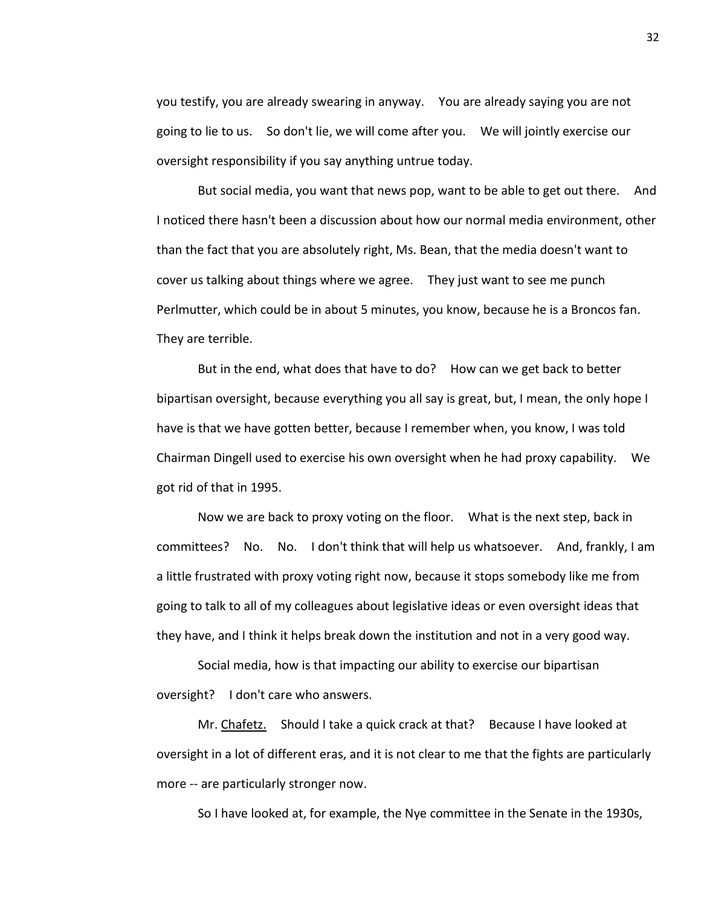you testify, you are already swearing in anyway. You are already saying you are not going to lie to us. So don't lie, we will come after you. We will jointly exercise our oversight responsibility if you say anything untrue today.

But social media, you want that news pop, want to be able to get out there. And I noticed there hasn't been a discussion about how our normal media environment, other than the fact that you are absolutely right, Ms. Bean, that the media doesn't want to cover us talking about things where we agree. They just want to see me punch Perlmutter, which could be in about 5 minutes, you know, because he is a Broncos fan. They are terrible.

But in the end, what does that have to do? How can we get back to better bipartisan oversight, because everything you all say is great, but, I mean, the only hope I have is that we have gotten better, because I remember when, you know, I was told Chairman Dingell used to exercise his own oversight when he had proxy capability. We got rid of that in 1995.

Now we are back to proxy voting on the floor. What is the next step, back in committees? No. No. I don't think that will help us whatsoever. And, frankly, I am a little frustrated with proxy voting right now, because it stops somebody like me from going to talk to all of my colleagues about legislative ideas or even oversight ideas that they have, and I think it helps break down the institution and not in a very good way.

Social media, how is that impacting our ability to exercise our bipartisan oversight? I don't care who answers.

Mr. Chafetz. Should I take a quick crack at that? Because I have looked at oversight in a lot of different eras, and it is not clear to me that the fights are particularly more -- are particularly stronger now.

So I have looked at, for example, the Nye committee in the Senate in the 1930s,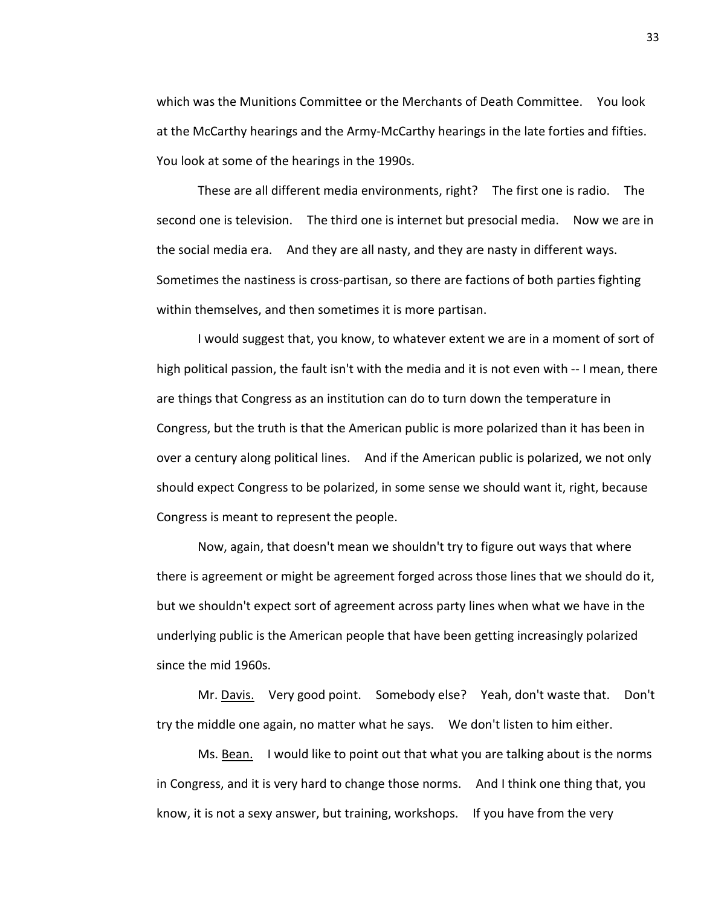which was the Munitions Committee or the Merchants of Death Committee. You look at the McCarthy hearings and the Army-McCarthy hearings in the late forties and fifties. You look at some of the hearings in the 1990s.

These are all different media environments, right? The first one is radio. The second one is television. The third one is internet but presocial media. Now we are in the social media era. And they are all nasty, and they are nasty in different ways. Sometimes the nastiness is cross-partisan, so there are factions of both parties fighting within themselves, and then sometimes it is more partisan.

I would suggest that, you know, to whatever extent we are in a moment of sort of high political passion, the fault isn't with the media and it is not even with -- I mean, there are things that Congress as an institution can do to turn down the temperature in Congress, but the truth is that the American public is more polarized than it has been in over a century along political lines. And if the American public is polarized, we not only should expect Congress to be polarized, in some sense we should want it, right, because Congress is meant to represent the people.

Now, again, that doesn't mean we shouldn't try to figure out ways that where there is agreement or might be agreement forged across those lines that we should do it, but we shouldn't expect sort of agreement across party lines when what we have in the underlying public is the American people that have been getting increasingly polarized since the mid 1960s.

Mr. Davis. Very good point. Somebody else? Yeah, don't waste that. Don't try the middle one again, no matter what he says. We don't listen to him either.

Ms. Bean. I would like to point out that what you are talking about is the norms in Congress, and it is very hard to change those norms. And I think one thing that, you know, it is not a sexy answer, but training, workshops. If you have from the very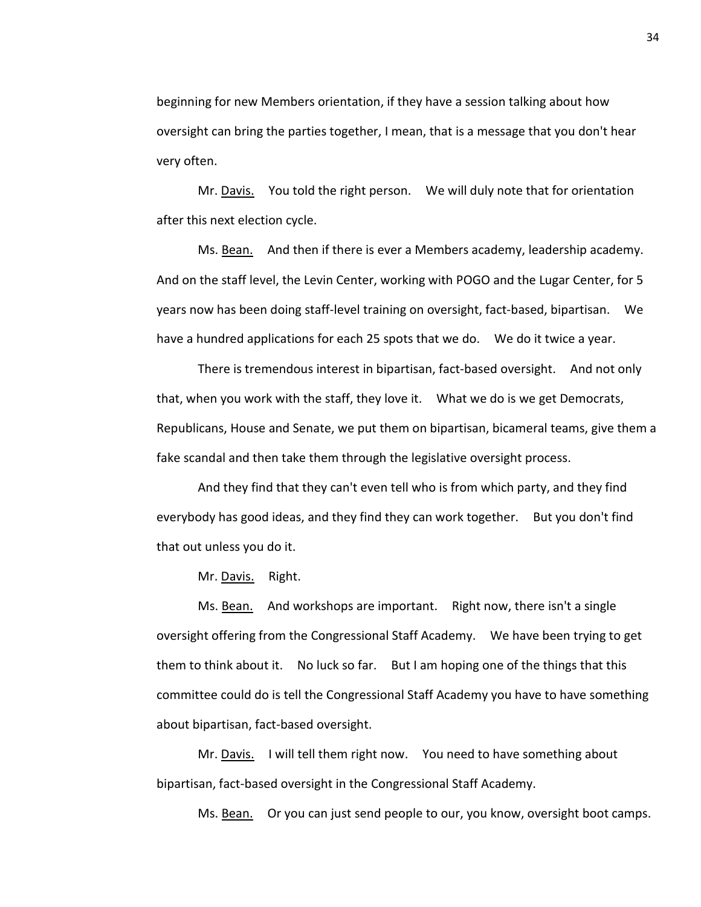beginning for new Members orientation, if they have a session talking about how oversight can bring the parties together, I mean, that is a message that you don't hear very often.

Mr. Davis. You told the right person. We will duly note that for orientation after this next election cycle.

Ms. Bean. And then if there is ever a Members academy, leadership academy. And on the staff level, the Levin Center, working with POGO and the Lugar Center, for 5 years now has been doing staff-level training on oversight, fact-based, bipartisan. We have a hundred applications for each 25 spots that we do. We do it twice a year.

There is tremendous interest in bipartisan, fact-based oversight. And not only that, when you work with the staff, they love it. What we do is we get Democrats, Republicans, House and Senate, we put them on bipartisan, bicameral teams, give them a fake scandal and then take them through the legislative oversight process.

And they find that they can't even tell who is from which party, and they find everybody has good ideas, and they find they can work together. But you don't find that out unless you do it.

Mr. Davis. Right.

Ms. Bean. And workshops are important. Right now, there isn't a single oversight offering from the Congressional Staff Academy. We have been trying to get them to think about it. No luck so far. But I am hoping one of the things that this committee could do is tell the Congressional Staff Academy you have to have something about bipartisan, fact-based oversight.

Mr. Davis. I will tell them right now. You need to have something about bipartisan, fact-based oversight in the Congressional Staff Academy.

Ms. Bean. Or you can just send people to our, you know, oversight boot camps.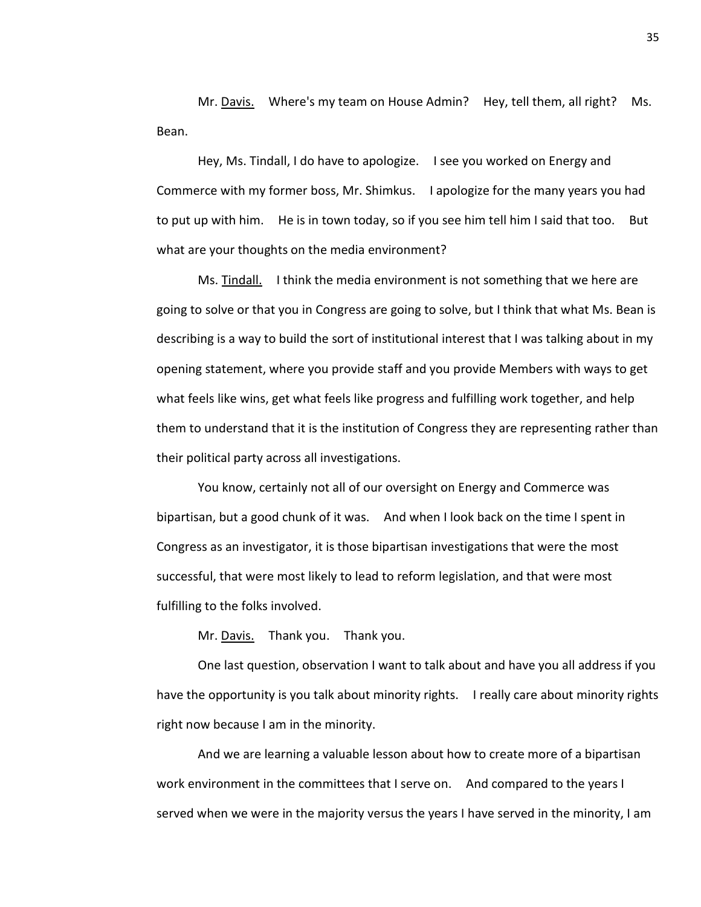Mr. Davis. Where's my team on House Admin? Hey, tell them, all right? Ms. Bean.

Hey, Ms. Tindall, I do have to apologize. I see you worked on Energy and Commerce with my former boss, Mr. Shimkus. I apologize for the many years you had to put up with him. He is in town today, so if you see him tell him I said that too. But what are your thoughts on the media environment?

Ms. Tindall. I think the media environment is not something that we here are going to solve or that you in Congress are going to solve, but I think that what Ms. Bean is describing is a way to build the sort of institutional interest that I was talking about in my opening statement, where you provide staff and you provide Members with ways to get what feels like wins, get what feels like progress and fulfilling work together, and help them to understand that it is the institution of Congress they are representing rather than their political party across all investigations.

You know, certainly not all of our oversight on Energy and Commerce was bipartisan, but a good chunk of it was. And when I look back on the time I spent in Congress as an investigator, it is those bipartisan investigations that were the most successful, that were most likely to lead to reform legislation, and that were most fulfilling to the folks involved.

Mr. Davis. Thank you. Thank you.

One last question, observation I want to talk about and have you all address if you have the opportunity is you talk about minority rights. I really care about minority rights right now because I am in the minority.

And we are learning a valuable lesson about how to create more of a bipartisan work environment in the committees that I serve on. And compared to the years I served when we were in the majority versus the years I have served in the minority, I am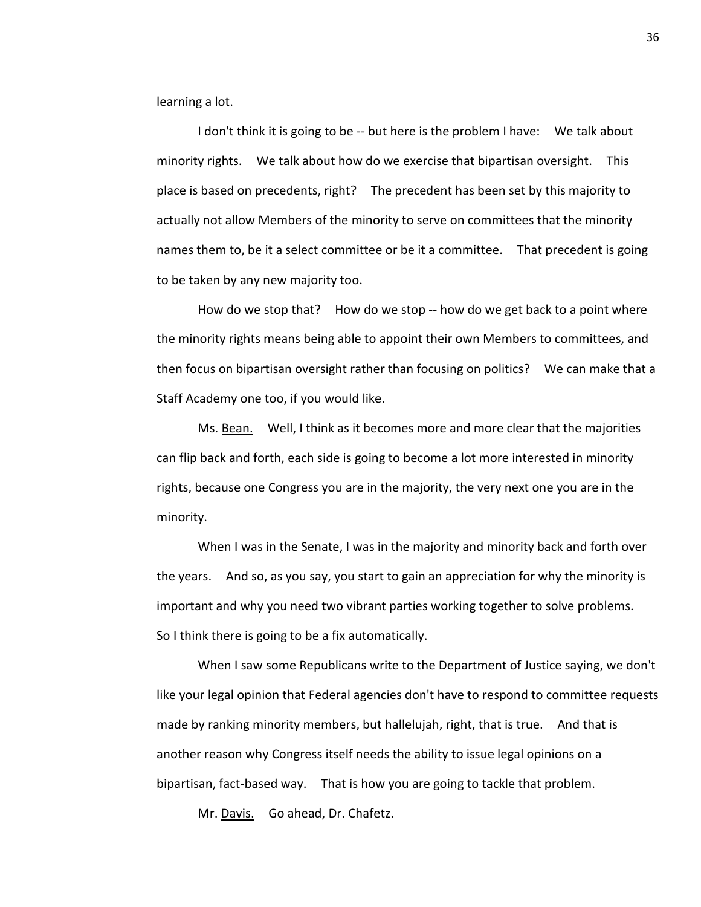learning a lot.

I don't think it is going to be -- but here is the problem I have: We talk about minority rights. We talk about how do we exercise that bipartisan oversight. This place is based on precedents, right? The precedent has been set by this majority to actually not allow Members of the minority to serve on committees that the minority names them to, be it a select committee or be it a committee. That precedent is going to be taken by any new majority too.

How do we stop that? How do we stop -- how do we get back to a point where the minority rights means being able to appoint their own Members to committees, and then focus on bipartisan oversight rather than focusing on politics? We can make that a Staff Academy one too, if you would like.

Ms. Bean. Well, I think as it becomes more and more clear that the majorities can flip back and forth, each side is going to become a lot more interested in minority rights, because one Congress you are in the majority, the very next one you are in the minority.

When I was in the Senate, I was in the majority and minority back and forth over the years. And so, as you say, you start to gain an appreciation for why the minority is important and why you need two vibrant parties working together to solve problems. So I think there is going to be a fix automatically.

When I saw some Republicans write to the Department of Justice saying, we don't like your legal opinion that Federal agencies don't have to respond to committee requests made by ranking minority members, but hallelujah, right, that is true. And that is another reason why Congress itself needs the ability to issue legal opinions on a bipartisan, fact-based way. That is how you are going to tackle that problem.

Mr. Davis. Go ahead, Dr. Chafetz.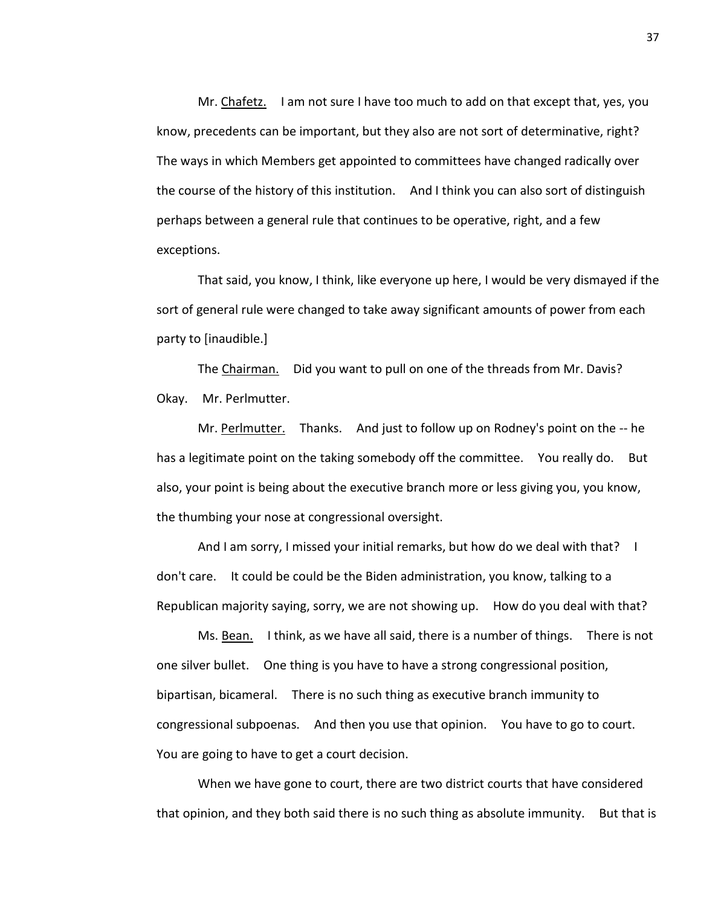Mr. Chafetz. I am not sure I have too much to add on that except that, yes, you know, precedents can be important, but they also are not sort of determinative, right? The ways in which Members get appointed to committees have changed radically over the course of the history of this institution. And I think you can also sort of distinguish perhaps between a general rule that continues to be operative, right, and a few exceptions.

That said, you know, I think, like everyone up here, I would be very dismayed if the sort of general rule were changed to take away significant amounts of power from each party to [inaudible.]

The Chairman. Did you want to pull on one of the threads from Mr. Davis? Okay. Mr. Perlmutter.

Mr. Perlmutter. Thanks. And just to follow up on Rodney's point on the -- he has a legitimate point on the taking somebody off the committee. You really do. But also, your point is being about the executive branch more or less giving you, you know, the thumbing your nose at congressional oversight.

And I am sorry, I missed your initial remarks, but how do we deal with that? I don't care. It could be could be the Biden administration, you know, talking to a Republican majority saying, sorry, we are not showing up. How do you deal with that?

Ms. Bean. I think, as we have all said, there is a number of things. There is not one silver bullet. One thing is you have to have a strong congressional position, bipartisan, bicameral. There is no such thing as executive branch immunity to congressional subpoenas. And then you use that opinion. You have to go to court. You are going to have to get a court decision.

When we have gone to court, there are two district courts that have considered that opinion, and they both said there is no such thing as absolute immunity. But that is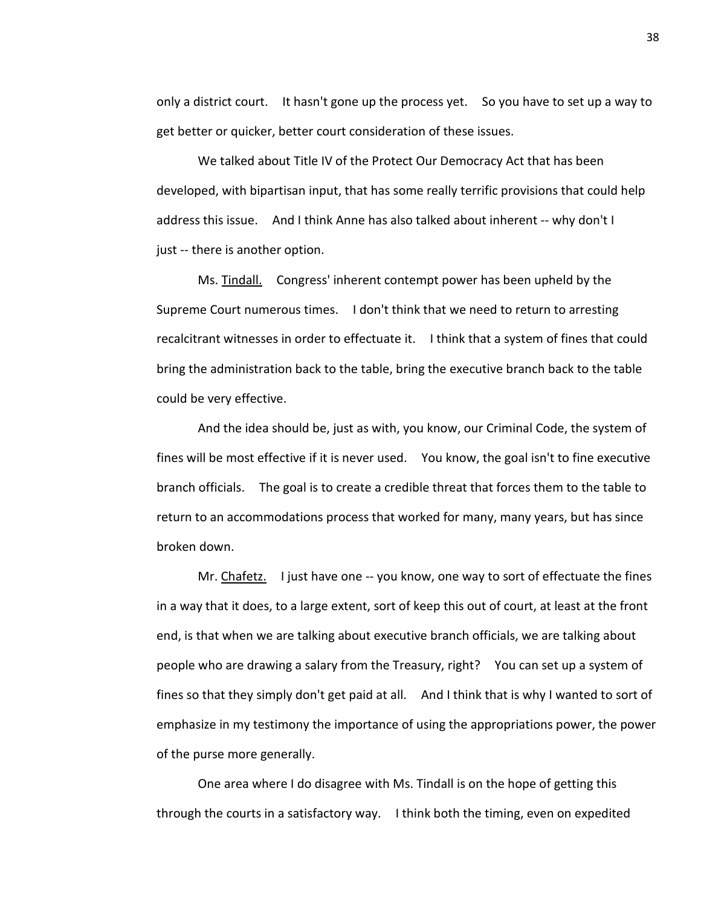only a district court. It hasn't gone up the process yet. So you have to set up a way to get better or quicker, better court consideration of these issues.

We talked about Title IV of the Protect Our Democracy Act that has been developed, with bipartisan input, that has some really terrific provisions that could help address this issue. And I think Anne has also talked about inherent -- why don't I just -- there is another option.

Ms. Tindall. Congress' inherent contempt power has been upheld by the Supreme Court numerous times. I don't think that we need to return to arresting recalcitrant witnesses in order to effectuate it. I think that a system of fines that could bring the administration back to the table, bring the executive branch back to the table could be very effective.

And the idea should be, just as with, you know, our Criminal Code, the system of fines will be most effective if it is never used. You know, the goal isn't to fine executive branch officials. The goal is to create a credible threat that forces them to the table to return to an accommodations process that worked for many, many years, but has since broken down.

Mr. Chafetz. I just have one -- you know, one way to sort of effectuate the fines in a way that it does, to a large extent, sort of keep this out of court, at least at the front end, is that when we are talking about executive branch officials, we are talking about people who are drawing a salary from the Treasury, right? You can set up a system of fines so that they simply don't get paid at all. And I think that is why I wanted to sort of emphasize in my testimony the importance of using the appropriations power, the power of the purse more generally.

One area where I do disagree with Ms. Tindall is on the hope of getting this through the courts in a satisfactory way. I think both the timing, even on expedited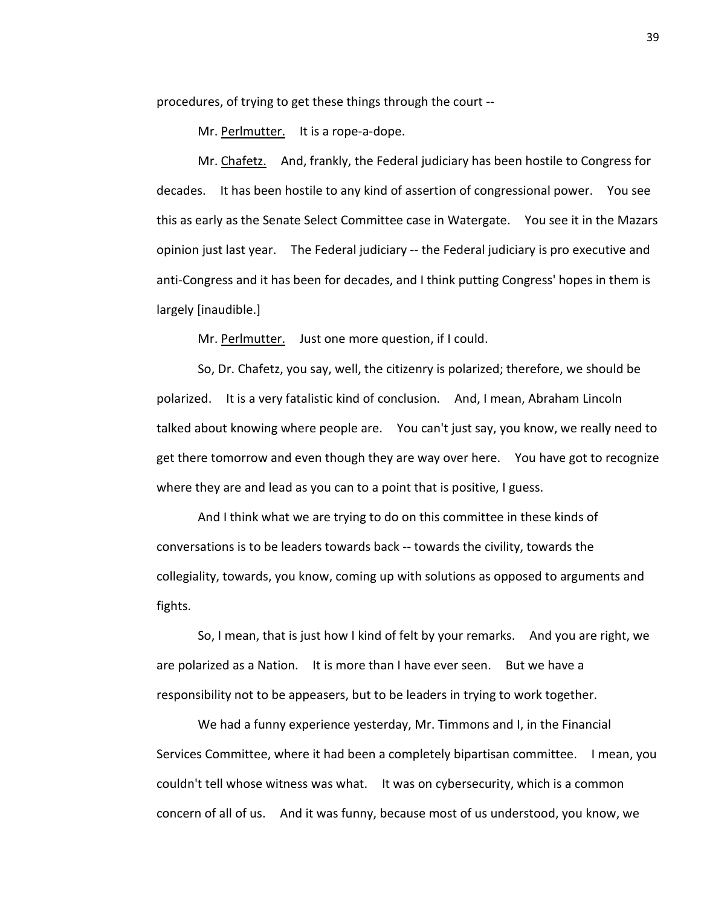procedures, of trying to get these things through the court --

Mr. Perlmutter. It is a rope-a-dope.

Mr. Chafetz. And, frankly, the Federal judiciary has been hostile to Congress for decades. It has been hostile to any kind of assertion of congressional power. You see this as early as the Senate Select Committee case in Watergate. You see it in the Mazars opinion just last year. The Federal judiciary -- the Federal judiciary is pro executive and anti-Congress and it has been for decades, and I think putting Congress' hopes in them is largely [inaudible.]

Mr. Perlmutter. Just one more question, if I could.

So, Dr. Chafetz, you say, well, the citizenry is polarized; therefore, we should be polarized. It is a very fatalistic kind of conclusion. And, I mean, Abraham Lincoln talked about knowing where people are. You can't just say, you know, we really need to get there tomorrow and even though they are way over here. You have got to recognize where they are and lead as you can to a point that is positive, I guess.

And I think what we are trying to do on this committee in these kinds of conversations is to be leaders towards back -- towards the civility, towards the collegiality, towards, you know, coming up with solutions as opposed to arguments and fights.

So, I mean, that is just how I kind of felt by your remarks. And you are right, we are polarized as a Nation. It is more than I have ever seen. But we have a responsibility not to be appeasers, but to be leaders in trying to work together.

We had a funny experience yesterday, Mr. Timmons and I, in the Financial Services Committee, where it had been a completely bipartisan committee. I mean, you couldn't tell whose witness was what. It was on cybersecurity, which is a common concern of all of us. And it was funny, because most of us understood, you know, we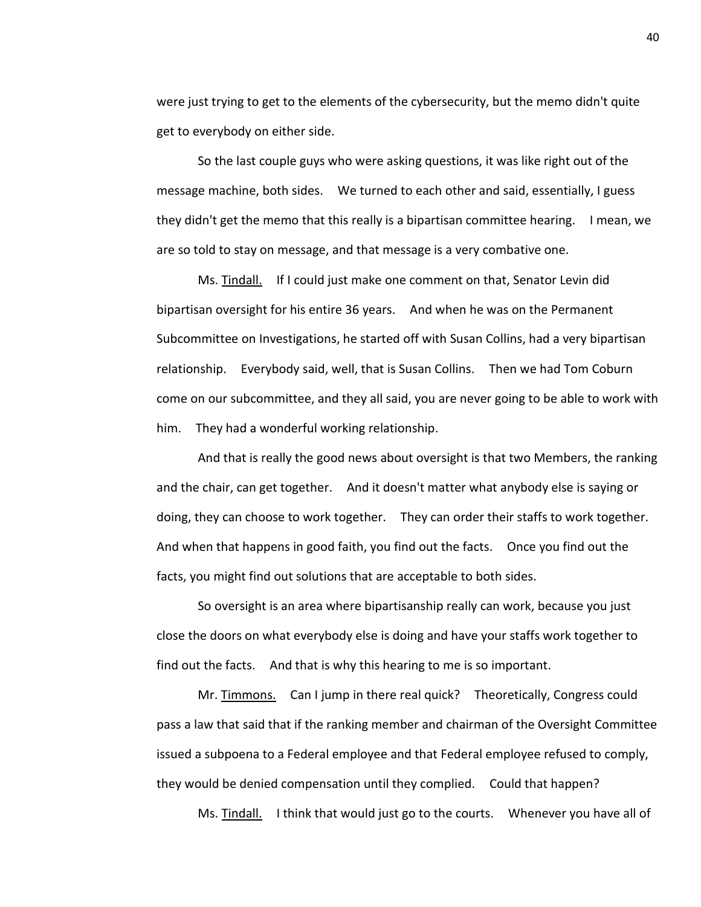were just trying to get to the elements of the cybersecurity, but the memo didn't quite get to everybody on either side.

So the last couple guys who were asking questions, it was like right out of the message machine, both sides. We turned to each other and said, essentially, I guess they didn't get the memo that this really is a bipartisan committee hearing. I mean, we are so told to stay on message, and that message is a very combative one.

Ms. Tindall. If I could just make one comment on that, Senator Levin did bipartisan oversight for his entire 36 years. And when he was on the Permanent Subcommittee on Investigations, he started off with Susan Collins, had a very bipartisan relationship. Everybody said, well, that is Susan Collins. Then we had Tom Coburn come on our subcommittee, and they all said, you are never going to be able to work with him. They had a wonderful working relationship.

And that is really the good news about oversight is that two Members, the ranking and the chair, can get together. And it doesn't matter what anybody else is saying or doing, they can choose to work together. They can order their staffs to work together. And when that happens in good faith, you find out the facts. Once you find out the facts, you might find out solutions that are acceptable to both sides.

So oversight is an area where bipartisanship really can work, because you just close the doors on what everybody else is doing and have your staffs work together to find out the facts. And that is why this hearing to me is so important.

Mr. Timmons. Can I jump in there real quick? Theoretically, Congress could pass a law that said that if the ranking member and chairman of the Oversight Committee issued a subpoena to a Federal employee and that Federal employee refused to comply, they would be denied compensation until they complied. Could that happen?

Ms. Tindall. I think that would just go to the courts. Whenever you have all of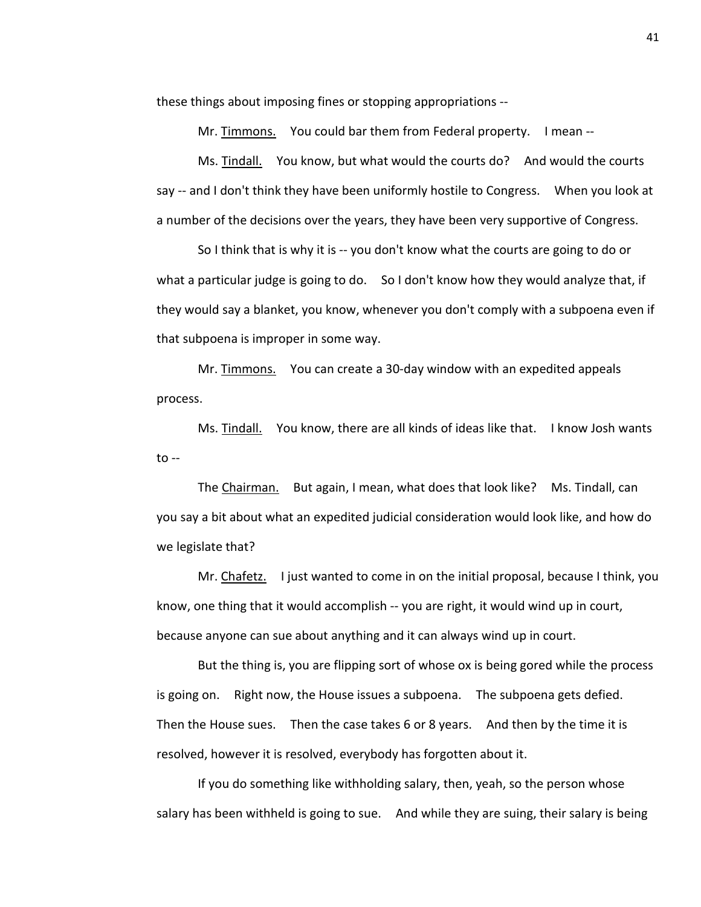these things about imposing fines or stopping appropriations --

Mr. Timmons. You could bar them from Federal property. I mean --

Ms. Tindall. You know, but what would the courts do? And would the courts say -- and I don't think they have been uniformly hostile to Congress. When you look at a number of the decisions over the years, they have been very supportive of Congress.

So I think that is why it is -- you don't know what the courts are going to do or what a particular judge is going to do. So I don't know how they would analyze that, if they would say a blanket, you know, whenever you don't comply with a subpoena even if that subpoena is improper in some way.

Mr. Timmons. You can create a 30-day window with an expedited appeals process.

Ms. Tindall. You know, there are all kinds of ideas like that. I know Josh wants  $to --$ 

The Chairman. But again, I mean, what does that look like? Ms. Tindall, can you say a bit about what an expedited judicial consideration would look like, and how do we legislate that?

Mr. Chafetz. I just wanted to come in on the initial proposal, because I think, you know, one thing that it would accomplish -- you are right, it would wind up in court, because anyone can sue about anything and it can always wind up in court.

But the thing is, you are flipping sort of whose ox is being gored while the process is going on. Right now, the House issues a subpoena. The subpoena gets defied. Then the House sues. Then the case takes 6 or 8 years. And then by the time it is resolved, however it is resolved, everybody has forgotten about it.

If you do something like withholding salary, then, yeah, so the person whose salary has been withheld is going to sue. And while they are suing, their salary is being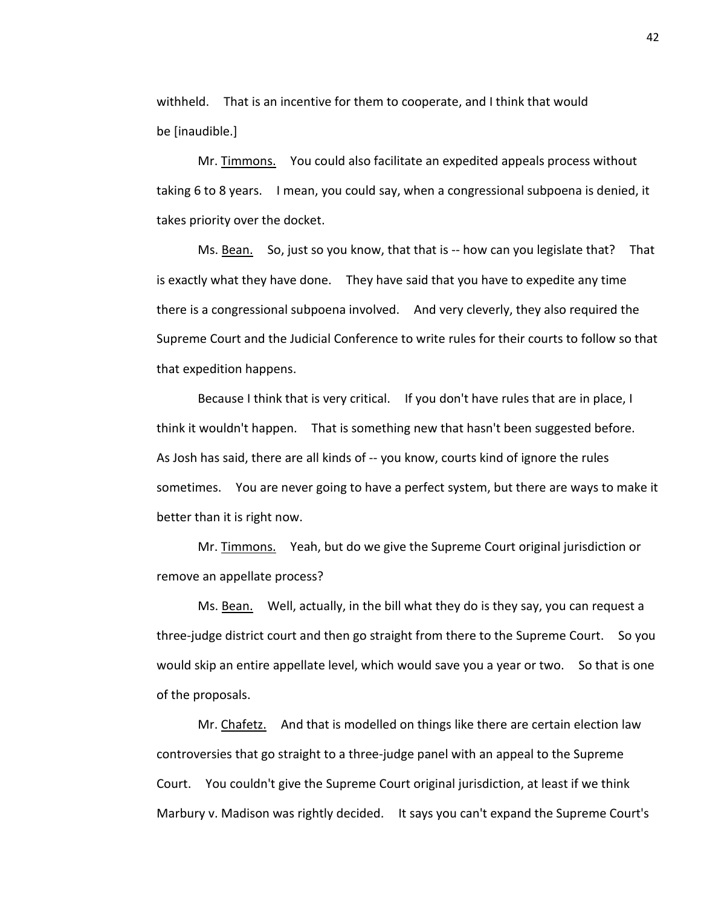withheld. That is an incentive for them to cooperate, and I think that would be [inaudible.]

Mr. Timmons. You could also facilitate an expedited appeals process without taking 6 to 8 years. I mean, you could say, when a congressional subpoena is denied, it takes priority over the docket.

Ms. Bean. So, just so you know, that that is -- how can you legislate that? That is exactly what they have done. They have said that you have to expedite any time there is a congressional subpoena involved. And very cleverly, they also required the Supreme Court and the Judicial Conference to write rules for their courts to follow so that that expedition happens.

Because I think that is very critical. If you don't have rules that are in place, I think it wouldn't happen. That is something new that hasn't been suggested before. As Josh has said, there are all kinds of -- you know, courts kind of ignore the rules sometimes. You are never going to have a perfect system, but there are ways to make it better than it is right now.

Mr. Timmons. Yeah, but do we give the Supreme Court original jurisdiction or remove an appellate process?

Ms. Bean. Well, actually, in the bill what they do is they say, you can request a three-judge district court and then go straight from there to the Supreme Court. So you would skip an entire appellate level, which would save you a year or two. So that is one of the proposals.

Mr. Chafetz. And that is modelled on things like there are certain election law controversies that go straight to a three-judge panel with an appeal to the Supreme Court. You couldn't give the Supreme Court original jurisdiction, at least if we think Marbury v. Madison was rightly decided. It says you can't expand the Supreme Court's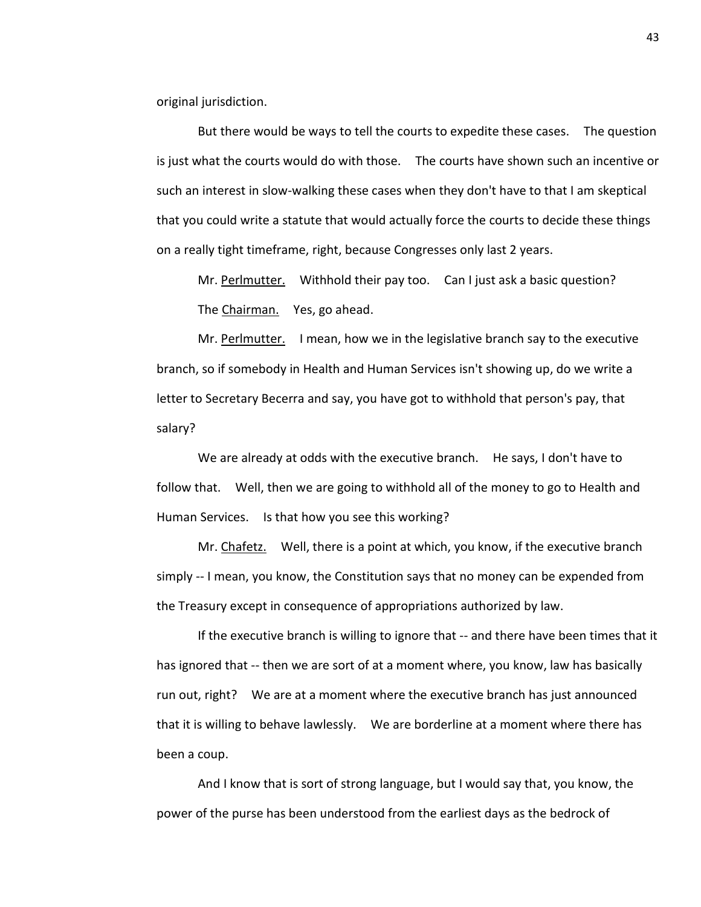original jurisdiction.

But there would be ways to tell the courts to expedite these cases. The question is just what the courts would do with those. The courts have shown such an incentive or such an interest in slow-walking these cases when they don't have to that I am skeptical that you could write a statute that would actually force the courts to decide these things on a really tight timeframe, right, because Congresses only last 2 years.

Mr. Perlmutter. Withhold their pay too. Can I just ask a basic question? The Chairman. Yes, go ahead.

Mr. Perlmutter. I mean, how we in the legislative branch say to the executive branch, so if somebody in Health and Human Services isn't showing up, do we write a letter to Secretary Becerra and say, you have got to withhold that person's pay, that salary?

We are already at odds with the executive branch. He says, I don't have to follow that. Well, then we are going to withhold all of the money to go to Health and Human Services. Is that how you see this working?

Mr. Chafetz. Well, there is a point at which, you know, if the executive branch simply -- I mean, you know, the Constitution says that no money can be expended from the Treasury except in consequence of appropriations authorized by law.

If the executive branch is willing to ignore that -- and there have been times that it has ignored that -- then we are sort of at a moment where, you know, law has basically run out, right? We are at a moment where the executive branch has just announced that it is willing to behave lawlessly. We are borderline at a moment where there has been a coup.

And I know that is sort of strong language, but I would say that, you know, the power of the purse has been understood from the earliest days as the bedrock of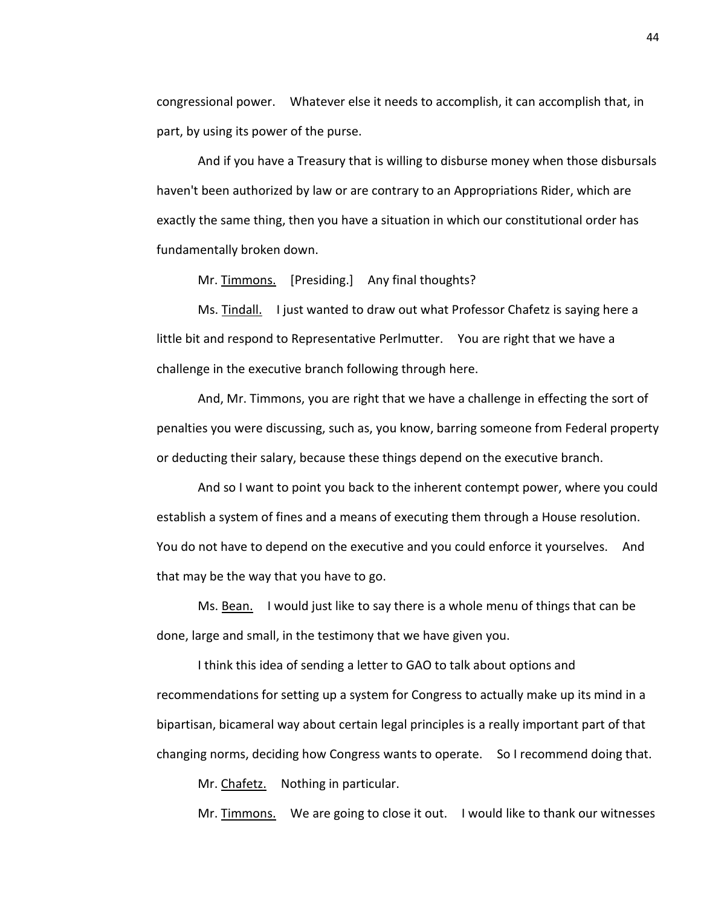congressional power. Whatever else it needs to accomplish, it can accomplish that, in part, by using its power of the purse.

And if you have a Treasury that is willing to disburse money when those disbursals haven't been authorized by law or are contrary to an Appropriations Rider, which are exactly the same thing, then you have a situation in which our constitutional order has fundamentally broken down.

Mr. Timmons. [Presiding.] Any final thoughts?

Ms. Tindall. I just wanted to draw out what Professor Chafetz is saying here a little bit and respond to Representative Perlmutter. You are right that we have a challenge in the executive branch following through here.

And, Mr. Timmons, you are right that we have a challenge in effecting the sort of penalties you were discussing, such as, you know, barring someone from Federal property or deducting their salary, because these things depend on the executive branch.

And so I want to point you back to the inherent contempt power, where you could establish a system of fines and a means of executing them through a House resolution. You do not have to depend on the executive and you could enforce it yourselves. And that may be the way that you have to go.

Ms. Bean. I would just like to say there is a whole menu of things that can be done, large and small, in the testimony that we have given you.

I think this idea of sending a letter to GAO to talk about options and recommendations for setting up a system for Congress to actually make up its mind in a bipartisan, bicameral way about certain legal principles is a really important part of that changing norms, deciding how Congress wants to operate. So I recommend doing that.

Mr. Chafetz. Nothing in particular.

Mr. Timmons. We are going to close it out. I would like to thank our witnesses